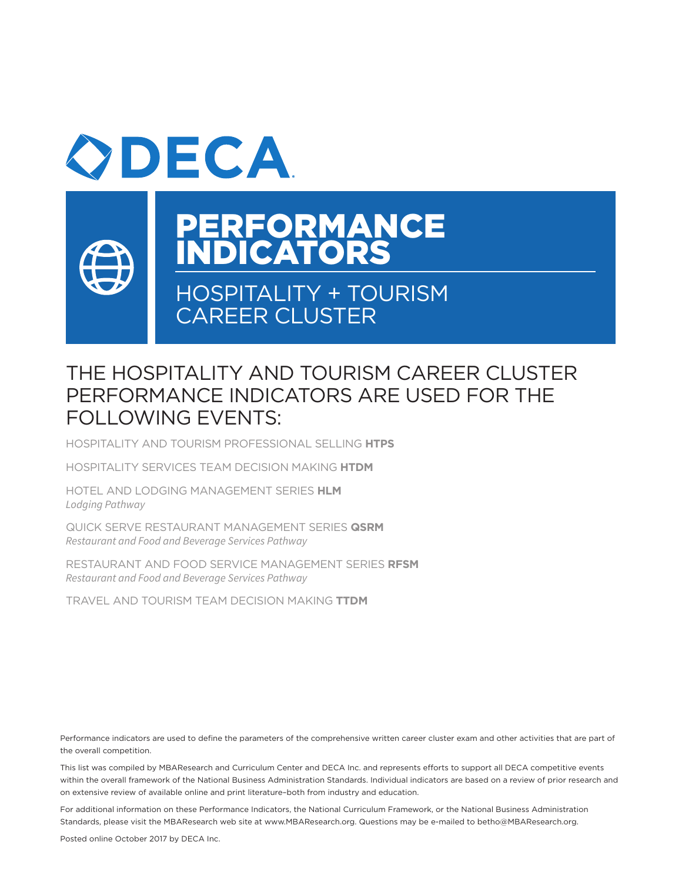



# PERFORMANCE INDICATORS

# HOSPITALITY + TOURISM CAREER CLUSTER

# THE HOSPITALITY AND TOURISM CAREER CLUSTER PERFORMANCE INDICATORS ARE USED FOR THE FOLLOWING EVENTS:

HOSPITALITY AND TOURISM PROFESSIONAL SELLING **HTPS**

HOSPITALITY SERVICES TEAM DECISION MAKING **HTDM**

HOTEL AND LODGING MANAGEMENT SERIES **HLM** *Lodging Pathway*

QUICK SERVE RESTAURANT MANAGEMENT SERIES **QSRM** *Restaurant and Food and Beverage Services Pathway*

RESTAURANT AND FOOD SERVICE MANAGEMENT SERIES **RFSM** *Restaurant and Food and Beverage Services Pathway*

TRAVEL AND TOURISM TEAM DECISION MAKING **TTDM**

Performance indicators are used to define the parameters of the comprehensive written career cluster exam and other activities that are part of the overall competition.

This list was compiled by MBAResearch and Curriculum Center and DECA Inc. and represents efforts to support all DECA competitive events within the overall framework of the National Business Administration Standards. Individual indicators are based on a review of prior research and on extensive review of available online and print literature–both from industry and education.

For additional information on these Performance Indicators, the National Curriculum Framework, or the National Business Administration Standards, please visit the MBAResearch web site at www.MBAResearch.org. Questions may be e-mailed to betho@MBAResearch.org.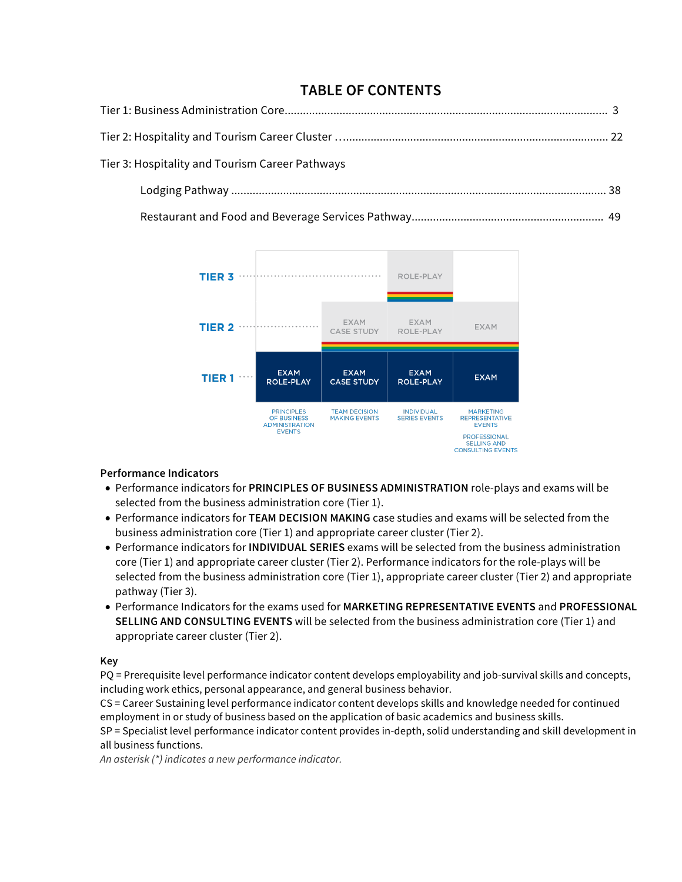# **TABLE OF CONTENTS**

| Tier 3: Hospitality and Tourism Career Pathways |  |
|-------------------------------------------------|--|
|                                                 |  |
|                                                 |  |

Restaurant and Food and Beverage Services Pathway............................................................... 49



## **Performance Indicators**

- Performance indicators for **PRINCIPLES OF BUSINESS ADMINISTRATION** role-plays and exams will be selected from the business administration core (Tier 1).
- Performance indicators for **TEAM DECISION MAKING** case studies and exams will be selected from the business administration core (Tier 1) and appropriate career cluster (Tier 2).
- Performance indicators for **INDIVIDUAL SERIES** exams will be selected from the business administration core (Tier 1) and appropriate career cluster (Tier 2). Performance indicators for the role-plays will be selected from the business administration core (Tier 1), appropriate career cluster (Tier 2) and appropriate pathway (Tier 3).
- Performance Indicators for the exams used for **MARKETING REPRESENTATIVE EVENTS** and **PROFESSIONAL SELLING AND CONSULTING EVENTS** will be selected from the business administration core (Tier 1) and appropriate career cluster (Tier 2).

#### **Key**

PQ = Prerequisite level performance indicator content develops employability and job-survival skills and concepts, including work ethics, personal appearance, and general business behavior.

CS = Career Sustaining level performance indicator content develops skills and knowledge needed for continued employment in or study of business based on the application of basic academics and business skills.

SP = Specialist level performance indicator content provides in-depth, solid understanding and skill development in all business functions.

*An asterisk (\*) indicates a new performance indicator.*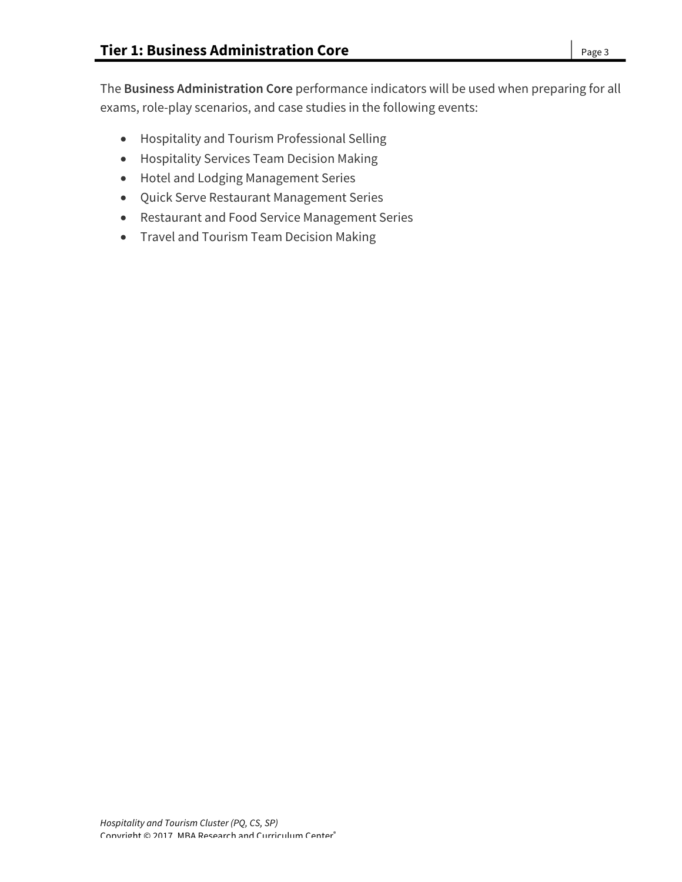The **Business Administration Core** performance indicators will be used when preparing for all exams, role-play scenarios, and case studies in the following events:

- Hospitality and Tourism Professional Selling
- Hospitality Services Team Decision Making
- Hotel and Lodging Management Series
- Quick Serve Restaurant Management Series
- Restaurant and Food Service Management Series
- Travel and Tourism Team Decision Making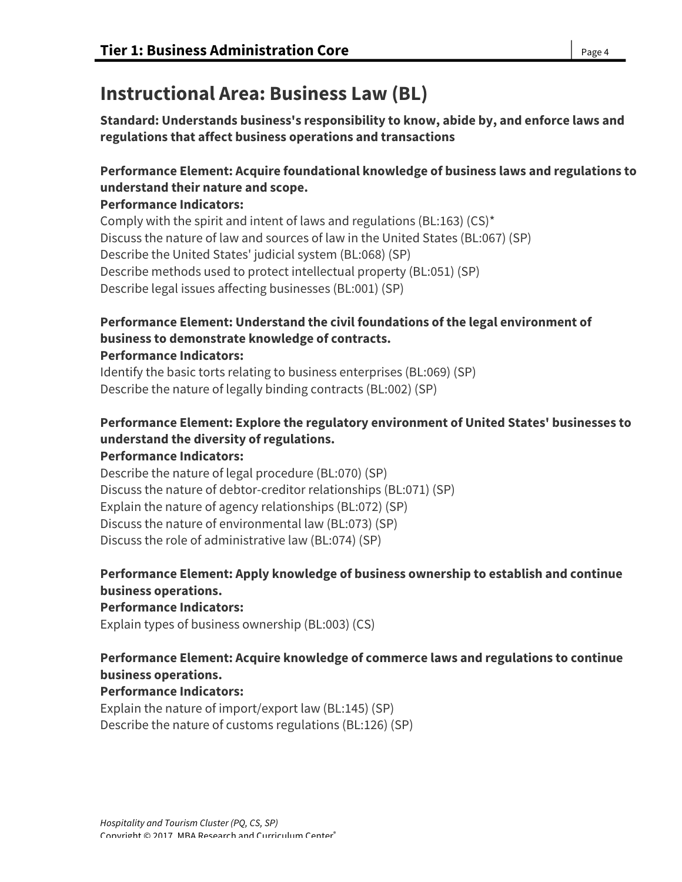# **Instructional Area: Business Law (BL)**

**Standard: Understands business's responsibility to know, abide by, and enforce laws and regulations that affect business operations and transactions**

## **Performance Element: Acquire foundational knowledge of business laws and regulations to understand their nature and scope.**

### **Performance Indicators:**

Comply with the spirit and intent of laws and regulations (BL:163) (CS)\* Discuss the nature of law and sources of law in the United States (BL:067) (SP) Describe the United States' judicial system (BL:068) (SP) Describe methods used to protect intellectual property (BL:051) (SP) Describe legal issues affecting businesses (BL:001) (SP)

# **Performance Element: Understand the civil foundations of the legal environment of business to demonstrate knowledge of contracts.**

### **Performance Indicators:**

Identify the basic torts relating to business enterprises (BL:069) (SP) Describe the nature of legally binding contracts (BL:002) (SP)

# **Performance Element: Explore the regulatory environment of United States' businesses to understand the diversity of regulations.**

#### **Performance Indicators:**

Describe the nature of legal procedure (BL:070) (SP) Discuss the nature of debtor-creditor relationships (BL:071) (SP) Explain the nature of agency relationships (BL:072) (SP) Discuss the nature of environmental law (BL:073) (SP) Discuss the role of administrative law (BL:074) (SP)

## **Performance Element: Apply knowledge of business ownership to establish and continue business operations.**

#### **Performance Indicators:**

Explain types of business ownership (BL:003) (CS)

## **Performance Element: Acquire knowledge of commerce laws and regulations to continue business operations.**

## **Performance Indicators:**

Explain the nature of import/export law (BL:145) (SP) Describe the nature of customs regulations (BL:126) (SP)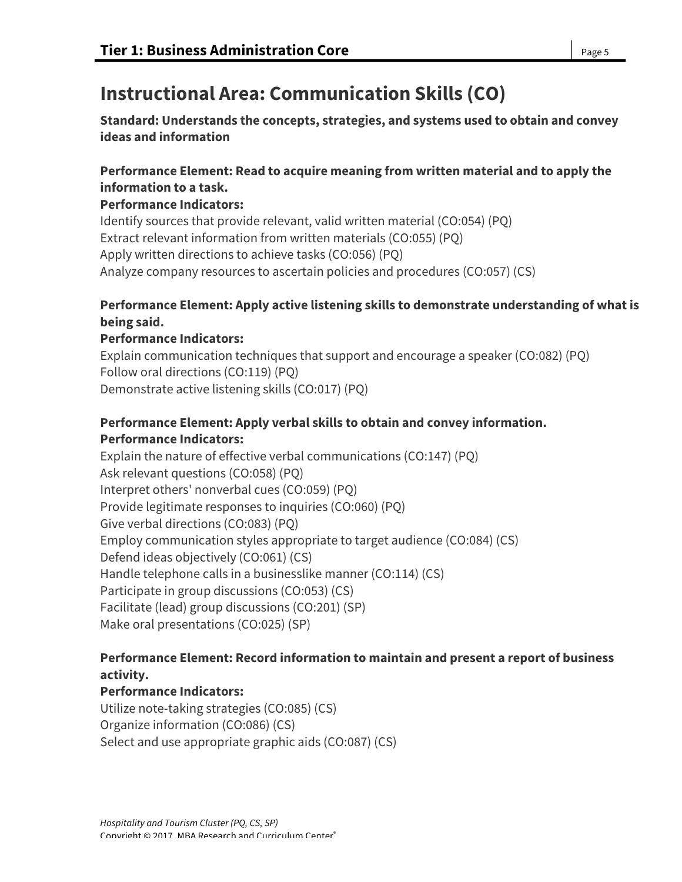# **Instructional Area: Communication Skills (CO)**

**Standard: Understands the concepts, strategies, and systems used to obtain and convey ideas and information**

### **Performance Element: Read to acquire meaning from written material and to apply the information to a task.**

### **Performance Indicators:**

Identify sources that provide relevant, valid written material (CO:054) (PQ) Extract relevant information from written materials (CO:055) (PQ) Apply written directions to achieve tasks (CO:056) (PQ) Analyze company resources to ascertain policies and procedures (CO:057) (CS)

## **Performance Element: Apply active listening skills to demonstrate understanding of what is being said.**

### **Performance Indicators:**

Explain communication techniques that support and encourage a speaker (CO:082) (PQ) Follow oral directions (CO:119) (PQ) Demonstrate active listening skills (CO:017) (PQ)

## **Performance Element: Apply verbal skills to obtain and convey information. Performance Indicators:**

Explain the nature of effective verbal communications (CO:147) (PQ) Ask relevant questions (CO:058) (PQ) Interpret others' nonverbal cues (CO:059) (PQ) Provide legitimate responses to inquiries (CO:060) (PQ) Give verbal directions (CO:083) (PQ) Employ communication styles appropriate to target audience (CO:084) (CS) Defend ideas objectively (CO:061) (CS) Handle telephone calls in a businesslike manner (CO:114) (CS) Participate in group discussions (CO:053) (CS) Facilitate (lead) group discussions (CO:201) (SP) Make oral presentations (CO:025) (SP)

## **Performance Element: Record information to maintain and present a report of business activity.**

## **Performance Indicators:**

Utilize note-taking strategies (CO:085) (CS) Organize information (CO:086) (CS) Select and use appropriate graphic aids (CO:087) (CS)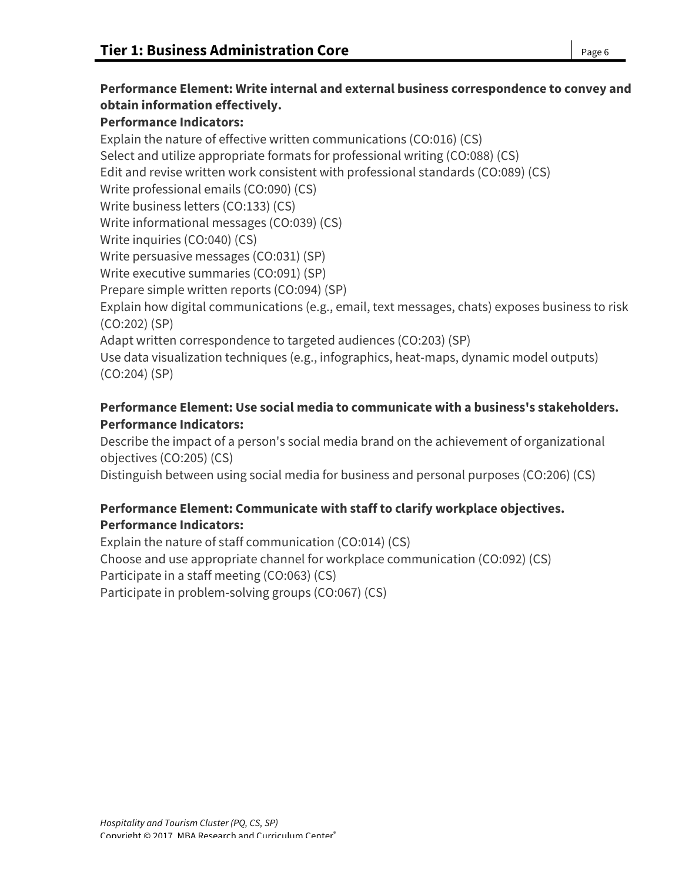# **Performance Element: Write internal and external business correspondence to convey and obtain information effectively.**

### **Performance Indicators:**

Explain the nature of effective written communications (CO:016) (CS) Select and utilize appropriate formats for professional writing (CO:088) (CS) Edit and revise written work consistent with professional standards (CO:089) (CS) Write professional emails (CO:090) (CS) Write business letters (CO:133) (CS) Write informational messages (CO:039) (CS) Write inquiries (CO:040) (CS) Write persuasive messages (CO:031) (SP) Write executive summaries (CO:091) (SP) Prepare simple written reports (CO:094) (SP) Explain how digital communications (e.g., email, text messages, chats) exposes business to risk (CO:202) (SP) Adapt written correspondence to targeted audiences (CO:203) (SP) Use data visualization techniques (e.g., infographics, heat-maps, dynamic model outputs) (CO:204) (SP)

## **Performance Element: Use social media to communicate with a business's stakeholders. Performance Indicators:**

Describe the impact of a person's social media brand on the achievement of organizational objectives (CO:205) (CS)

Distinguish between using social media for business and personal purposes (CO:206) (CS)

## **Performance Element: Communicate with staff to clarify workplace objectives. Performance Indicators:**

Explain the nature of staff communication (CO:014) (CS) Choose and use appropriate channel for workplace communication (CO:092) (CS) Participate in a staff meeting (CO:063) (CS) Participate in problem-solving groups (CO:067) (CS)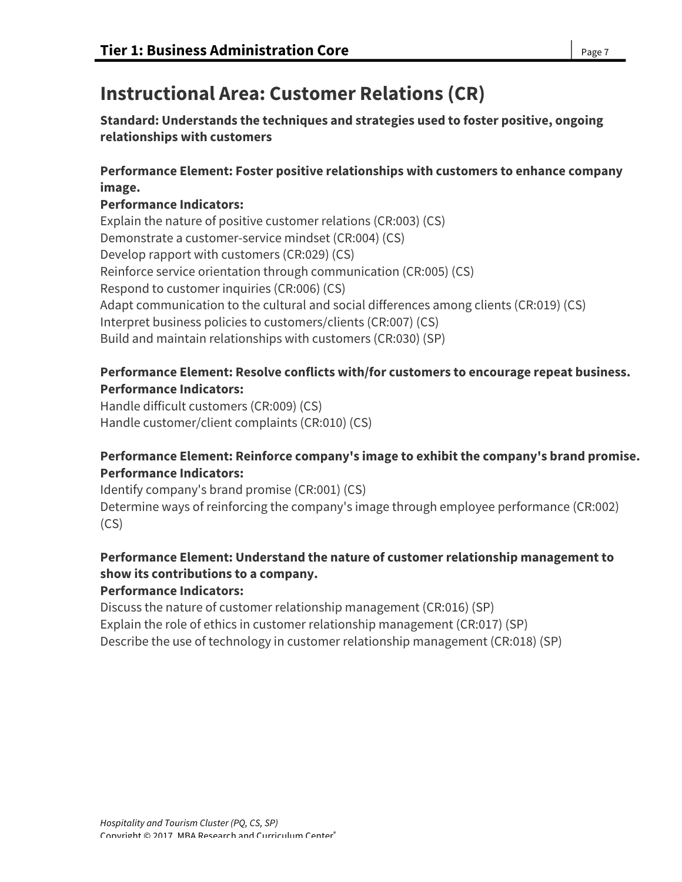# **Instructional Area: Customer Relations (CR)**

**Standard: Understands the techniques and strategies used to foster positive, ongoing relationships with customers**

## **Performance Element: Foster positive relationships with customers to enhance company image.**

### **Performance Indicators:**

Explain the nature of positive customer relations (CR:003) (CS) Demonstrate a customer-service mindset (CR:004) (CS) Develop rapport with customers (CR:029) (CS) Reinforce service orientation through communication (CR:005) (CS) Respond to customer inquiries (CR:006) (CS) Adapt communication to the cultural and social differences among clients (CR:019) (CS) Interpret business policies to customers/clients (CR:007) (CS) Build and maintain relationships with customers (CR:030) (SP)

### **Performance Element: Resolve conflicts with/for customers to encourage repeat business. Performance Indicators:**

Handle difficult customers (CR:009) (CS) Handle customer/client complaints (CR:010) (CS)

## **Performance Element: Reinforce company's image to exhibit the company's brand promise. Performance Indicators:**

Identify company's brand promise (CR:001) (CS) Determine ways of reinforcing the company's image through employee performance (CR:002) (CS)

## **Performance Element: Understand the nature of customer relationship management to show its contributions to a company.**

## **Performance Indicators:**

Discuss the nature of customer relationship management (CR:016) (SP) Explain the role of ethics in customer relationship management (CR:017) (SP) Describe the use of technology in customer relationship management (CR:018) (SP)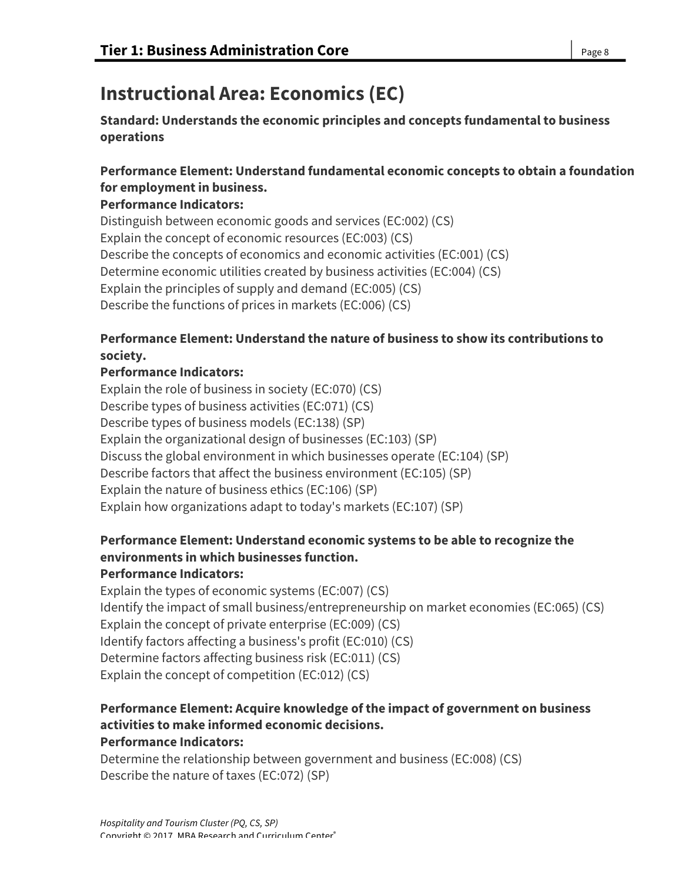# **Instructional Area: Economics (EC)**

**Standard: Understands the economic principles and concepts fundamental to business operations**

## **Performance Element: Understand fundamental economic concepts to obtain a foundation for employment in business.**

## **Performance Indicators:**

Distinguish between economic goods and services (EC:002) (CS) Explain the concept of economic resources (EC:003) (CS) Describe the concepts of economics and economic activities (EC:001) (CS) Determine economic utilities created by business activities (EC:004) (CS) Explain the principles of supply and demand (EC:005) (CS) Describe the functions of prices in markets (EC:006) (CS)

## **Performance Element: Understand the nature of business to show its contributions to society.**

## **Performance Indicators:**

Explain the role of business in society (EC:070) (CS) Describe types of business activities (EC:071) (CS) Describe types of business models (EC:138) (SP) Explain the organizational design of businesses (EC:103) (SP) Discuss the global environment in which businesses operate (EC:104) (SP) Describe factors that affect the business environment (EC:105) (SP) Explain the nature of business ethics (EC:106) (SP) Explain how organizations adapt to today's markets (EC:107) (SP)

# **Performance Element: Understand economic systems to be able to recognize the environments in which businesses function.**

## **Performance Indicators:**

Explain the types of economic systems (EC:007) (CS) Identify the impact of small business/entrepreneurship on market economies (EC:065) (CS) Explain the concept of private enterprise (EC:009) (CS) Identify factors affecting a business's profit (EC:010) (CS) Determine factors affecting business risk (EC:011) (CS) Explain the concept of competition (EC:012) (CS)

### **Performance Element: Acquire knowledge of the impact of government on business activities to make informed economic decisions. Performance Indicators:**

Determine the relationship between government and business (EC:008) (CS) Describe the nature of taxes (EC:072) (SP)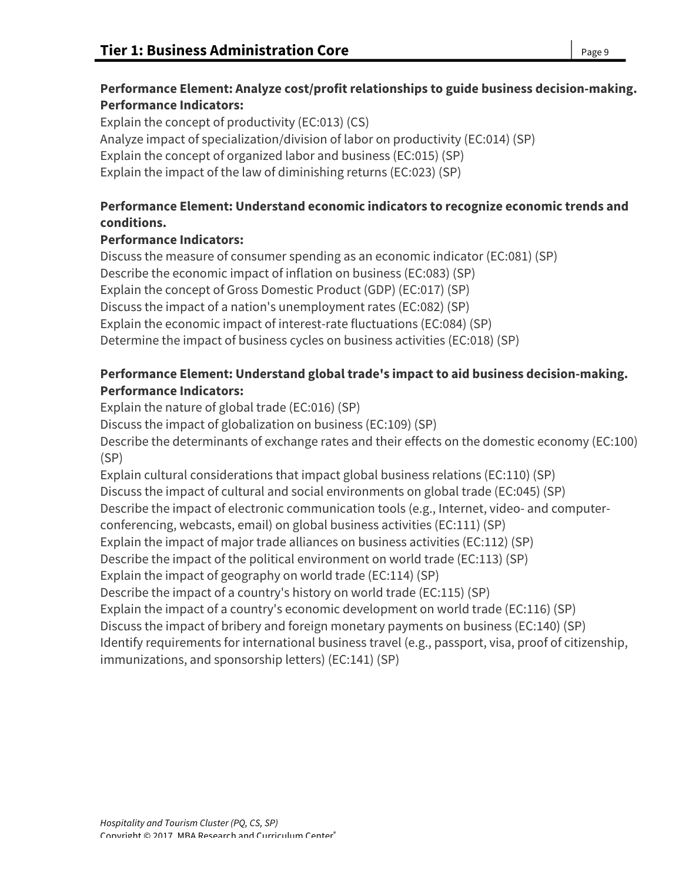## **Performance Element: Analyze cost/profit relationships to guide business decision-making. Performance Indicators:**

Explain the concept of productivity (EC:013) (CS) Analyze impact of specialization/division of labor on productivity (EC:014) (SP) Explain the concept of organized labor and business (EC:015) (SP) Explain the impact of the law of diminishing returns (EC:023) (SP)

# **Performance Element: Understand economic indicators to recognize economic trends and conditions.**

# **Performance Indicators:**

Discuss the measure of consumer spending as an economic indicator (EC:081) (SP) Describe the economic impact of inflation on business (EC:083) (SP) Explain the concept of Gross Domestic Product (GDP) (EC:017) (SP) Discuss the impact of a nation's unemployment rates (EC:082) (SP) Explain the economic impact of interest-rate fluctuations (EC:084) (SP) Determine the impact of business cycles on business activities (EC:018) (SP)

## **Performance Element: Understand global trade's impact to aid business decision-making. Performance Indicators:**

Explain the nature of global trade (EC:016) (SP) Discuss the impact of globalization on business (EC:109) (SP) Describe the determinants of exchange rates and their effects on the domestic economy (EC:100) (SP) Explain cultural considerations that impact global business relations (EC:110) (SP) Discuss the impact of cultural and social environments on global trade (EC:045) (SP) Describe the impact of electronic communication tools (e.g., Internet, video- and computer-

conferencing, webcasts, email) on global business activities (EC:111) (SP)

Explain the impact of major trade alliances on business activities (EC:112) (SP)

Describe the impact of the political environment on world trade (EC:113) (SP)

Explain the impact of geography on world trade (EC:114) (SP)

Describe the impact of a country's history on world trade (EC:115) (SP)

Explain the impact of a country's economic development on world trade (EC:116) (SP)

Discuss the impact of bribery and foreign monetary payments on business (EC:140) (SP)

Identify requirements for international business travel (e.g., passport, visa, proof of citizenship, immunizations, and sponsorship letters) (EC:141) (SP)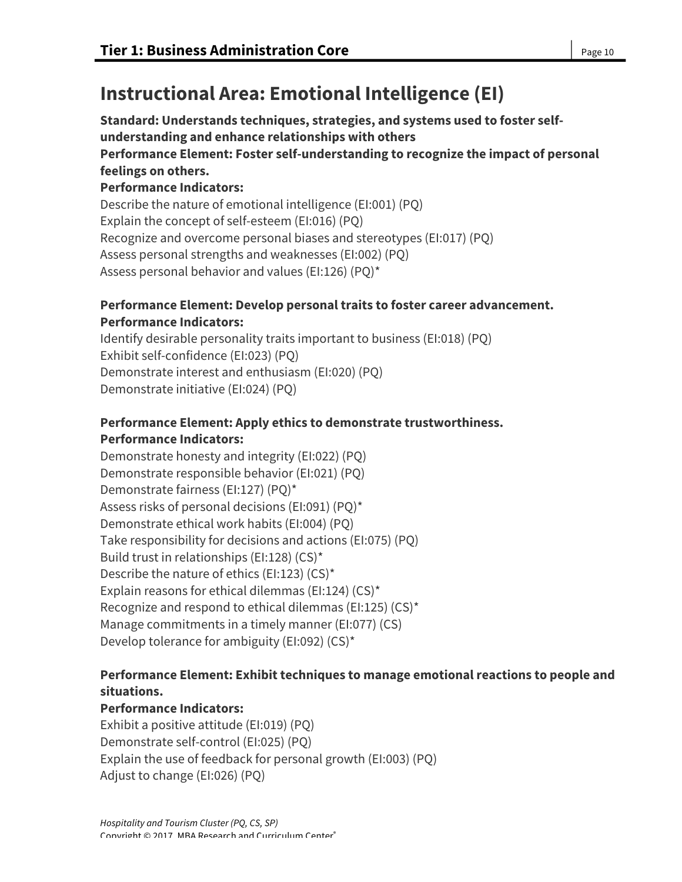# **Instructional Area: Emotional Intelligence (EI)**

**Standard: Understands techniques, strategies, and systems used to foster selfunderstanding and enhance relationships with others Performance Element: Foster self-understanding to recognize the impact of personal feelings on others. Performance Indicators:** Describe the nature of emotional intelligence (EI:001) (PQ)

Explain the concept of self-esteem (EI:016) (PQ)

Recognize and overcome personal biases and stereotypes (EI:017) (PQ)

Assess personal strengths and weaknesses (EI:002) (PQ)

Assess personal behavior and values (EI:126) (PQ)\*

## **Performance Element: Develop personal traits to foster career advancement. Performance Indicators:**

Identify desirable personality traits important to business (EI:018) (PQ) Exhibit self-confidence (EI:023) (PQ) Demonstrate interest and enthusiasm (EI:020) (PQ) Demonstrate initiative (EI:024) (PQ)

# **Performance Element: Apply ethics to demonstrate trustworthiness. Performance Indicators:**

Demonstrate honesty and integrity (EI:022) (PQ) Demonstrate responsible behavior (EI:021) (PQ) Demonstrate fairness (EI:127) (PQ)\* Assess risks of personal decisions (EI:091) (PQ)\* Demonstrate ethical work habits (EI:004) (PQ) Take responsibility for decisions and actions (EI:075) (PQ) Build trust in relationships (EI:128) (CS)\* Describe the nature of ethics (EI:123) (CS)\* Explain reasons for ethical dilemmas (EI:124) (CS)\* Recognize and respond to ethical dilemmas (EI:125) (CS)\* Manage commitments in a timely manner (EI:077) (CS) Develop tolerance for ambiguity (EI:092) (CS)\*

## **Performance Element: Exhibit techniques to manage emotional reactions to people and situations.**

## **Performance Indicators:**

Exhibit a positive attitude (EI:019) (PQ) Demonstrate self-control (EI:025) (PQ) Explain the use of feedback for personal growth (EI:003) (PQ) Adjust to change (EI:026) (PQ)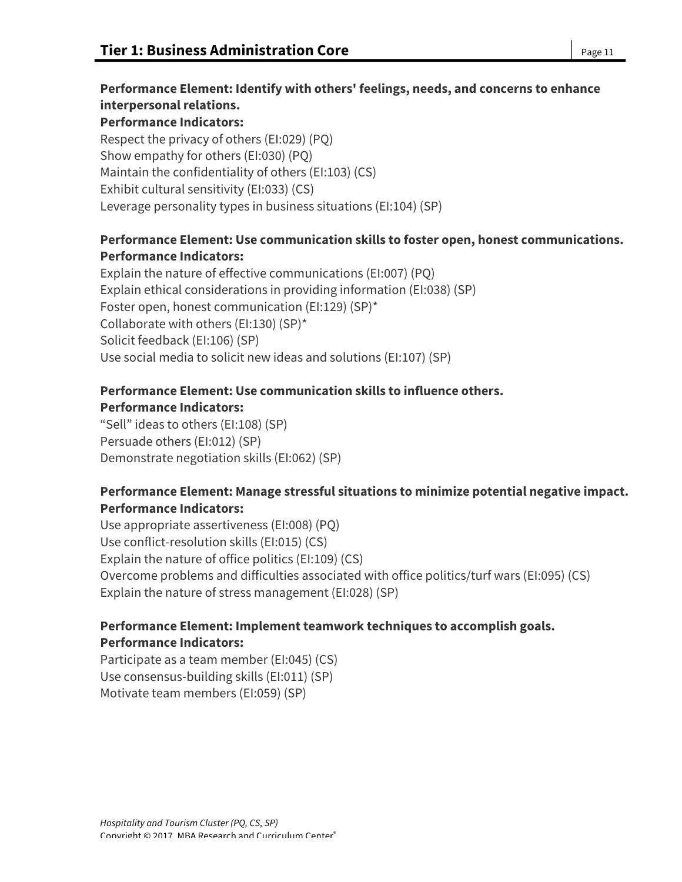# **Performance Element: Identify with others' feelings, needs, and concerns to enhance**

**interpersonal relations. Performance Indicators:**

Respect the privacy of others (EI:029) (PQ) Show empathy for others (EI:030) (PQ) Maintain the confidentiality of others (EI:103) (CS) Exhibit cultural sensitivity (EI:033) (CS) Leverage personality types in business situations (EI:104) (SP)

## **Performance Element: Use communication skills to foster open, honest communications. Performance Indicators:**

Explain the nature of effective communications (EI:007) (PQ) Explain ethical considerations in providing information (EI:038) (SP) Foster open, honest communication (EI:129) (SP)\* Collaborate with others (EI:130) (SP)\* Solicit feedback (EI:106) (SP) Use social media to solicit new ideas and solutions (EI:107) (SP)

# **Performance Element: Use communication skills to influence others.**

### **Performance Indicators:**

"Sell" ideas to others (EI:108) (SP) Persuade others (EI:012) (SP) Demonstrate negotiation skills (EI:062) (SP)

## **Performance Element: Manage stressful situations to minimize potential negative impact. Performance Indicators:**

Use appropriate assertiveness (EI:008) (PQ) Use conflict-resolution skills (EI:015) (CS) Explain the nature of office politics (EI:109) (CS) Overcome problems and difficulties associated with office politics/turf wars (EI:095) (CS) Explain the nature of stress management (EI:028) (SP)

## **Performance Element: Implement teamwork techniques to accomplish goals. Performance Indicators:**

Participate as a team member (EI:045) (CS) Use consensus-building skills (EI:011) (SP) Motivate team members (EI:059) (SP)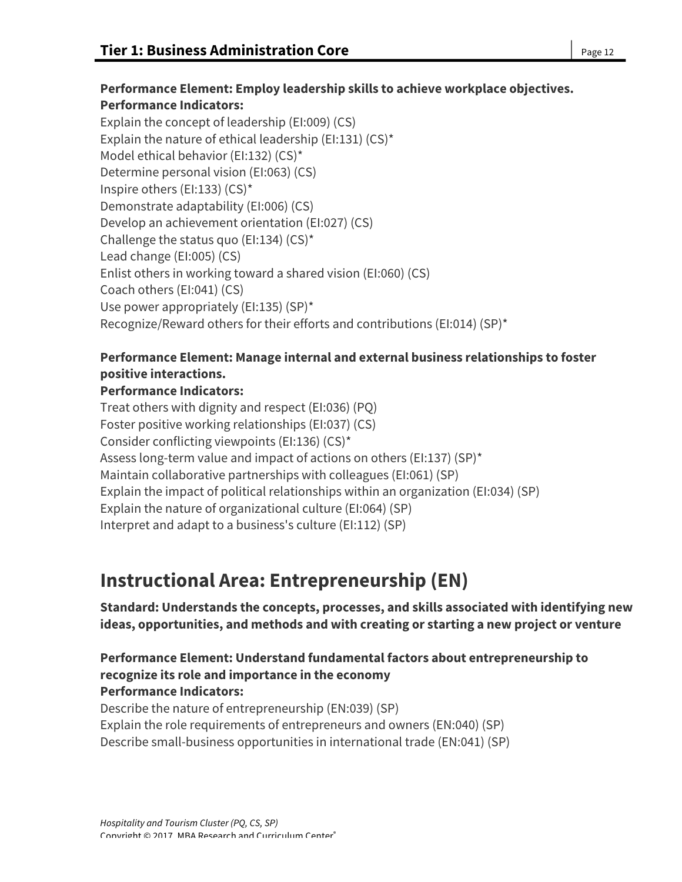#### **Performance Element: Employ leadership skills to achieve workplace objectives. Performance Indicators:**

Explain the concept of leadership (EI:009) (CS) Explain the nature of ethical leadership (EI:131) (CS)\* Model ethical behavior (EI:132) (CS)\* Determine personal vision (EI:063) (CS) Inspire others (EI:133) (CS)\* Demonstrate adaptability (EI:006) (CS) Develop an achievement orientation (EI:027) (CS) Challenge the status quo (EI:134) (CS)\* Lead change (EI:005) (CS) Enlist others in working toward a shared vision (EI:060) (CS) Coach others (EI:041) (CS) Use power appropriately (EI:135) (SP)\* Recognize/Reward others for their efforts and contributions (EI:014) (SP)\*

## **Performance Element: Manage internal and external business relationships to foster positive interactions.**

## **Performance Indicators:**

Treat others with dignity and respect (EI:036) (PQ) Foster positive working relationships (EI:037) (CS) Consider conflicting viewpoints (EI:136) (CS)\* Assess long-term value and impact of actions on others (EI:137) (SP)\* Maintain collaborative partnerships with colleagues (EI:061) (SP) Explain the impact of political relationships within an organization (EI:034) (SP) Explain the nature of organizational culture (EI:064) (SP) Interpret and adapt to a business's culture (EI:112) (SP)

# **Instructional Area: Entrepreneurship (EN)**

**Standard: Understands the concepts, processes, and skills associated with identifying new ideas, opportunities, and methods and with creating or starting a new project or venture**

#### **Performance Element: Understand fundamental factors about entrepreneurship to recognize its role and importance in the economy Performance Indicators:**

Describe the nature of entrepreneurship (EN:039) (SP) Explain the role requirements of entrepreneurs and owners (EN:040) (SP) Describe small-business opportunities in international trade (EN:041) (SP)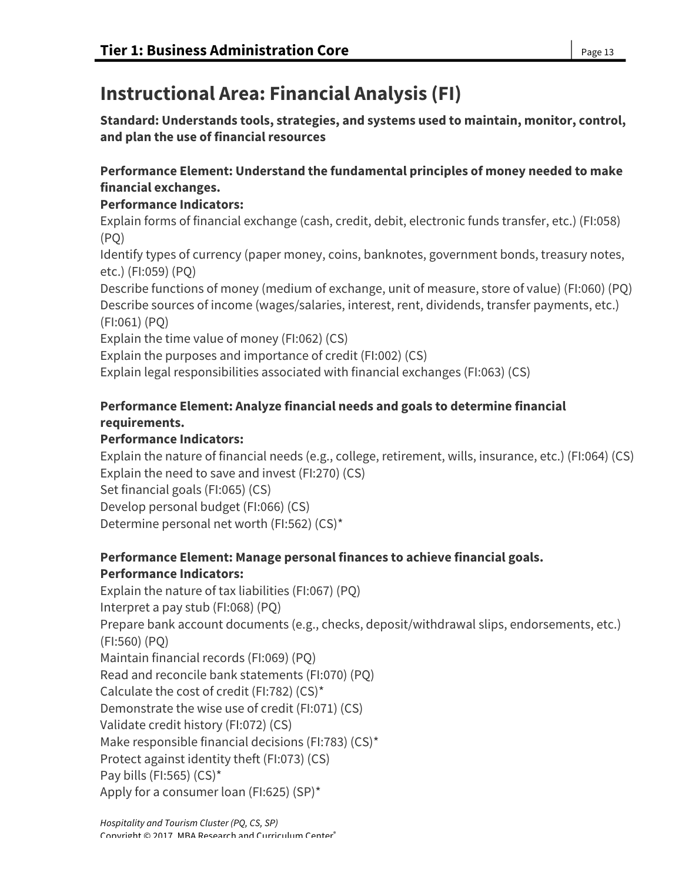# **Instructional Area: Financial Analysis (FI)**

**Standard: Understands tools, strategies, and systems used to maintain, monitor, control, and plan the use of financial resources**

## **Performance Element: Understand the fundamental principles of money needed to make financial exchanges.**

## **Performance Indicators:**

Explain forms of financial exchange (cash, credit, debit, electronic funds transfer, etc.) (FI:058) (PQ)

Identify types of currency (paper money, coins, banknotes, government bonds, treasury notes, etc.) (FI:059) (PQ)

Describe functions of money (medium of exchange, unit of measure, store of value) (FI:060) (PQ) Describe sources of income (wages/salaries, interest, rent, dividends, transfer payments, etc.) (FI:061) (PQ)

Explain the time value of money (FI:062) (CS)

Explain the purposes and importance of credit (FI:002) (CS)

Explain legal responsibilities associated with financial exchanges (FI:063) (CS)

# **Performance Element: Analyze financial needs and goals to determine financial requirements.**

## **Performance Indicators:**

Explain the nature of financial needs (e.g., college, retirement, wills, insurance, etc.) (FI:064) (CS) Explain the need to save and invest (FI:270) (CS)

Set financial goals (FI:065) (CS)

Develop personal budget (FI:066) (CS)

Determine personal net worth (FI:562) (CS)\*

## **Performance Element: Manage personal finances to achieve financial goals. Performance Indicators:**

Explain the nature of tax liabilities (FI:067) (PQ) Interpret a pay stub (FI:068) (PQ) Prepare bank account documents (e.g., checks, deposit/withdrawal slips, endorsements, etc.) (FI:560) (PQ) Maintain financial records (FI:069) (PQ) Read and reconcile bank statements (FI:070) (PQ) Calculate the cost of credit (FI:782) (CS)\* Demonstrate the wise use of credit (FI:071) (CS) Validate credit history (FI:072) (CS) Make responsible financial decisions (FI:783) (CS)\* Protect against identity theft (FI:073) (CS) Pay bills (FI:565) (CS)\* Apply for a consumer loan (FI:625) (SP)\*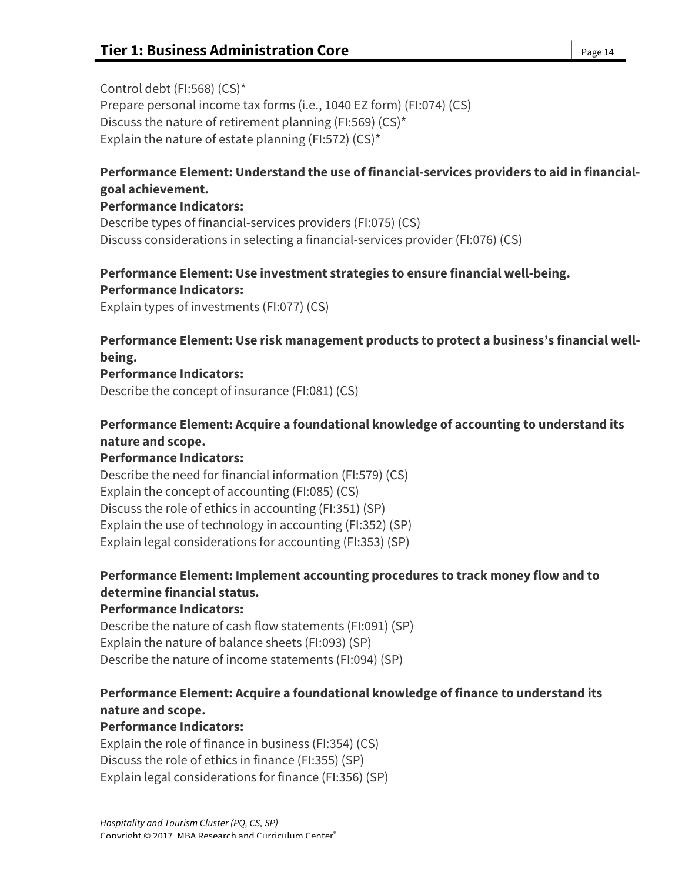Control debt (FI:568) (CS)\* Prepare personal income tax forms (i.e., 1040 EZ form) (FI:074) (CS) Discuss the nature of retirement planning (FI:569) (CS)\* Explain the nature of estate planning (FI:572) (CS)\*

## **Performance Element: Understand the use of financial-services providers to aid in financialgoal achievement.**

#### **Performance Indicators:**

Describe types of financial-services providers (FI:075) (CS) Discuss considerations in selecting a financial-services provider (FI:076) (CS)

## **Performance Element: Use investment strategies to ensure financial well-being. Performance Indicators:**

Explain types of investments (FI:077) (CS)

## **Performance Element: Use risk management products to protect a business's financial wellbeing.**

### **Performance Indicators:**

Describe the concept of insurance (FI:081) (CS)

## **Performance Element: Acquire a foundational knowledge of accounting to understand its nature and scope.**

## **Performance Indicators:**

Describe the need for financial information (FI:579) (CS) Explain the concept of accounting (FI:085) (CS) Discuss the role of ethics in accounting (FI:351) (SP) Explain the use of technology in accounting (FI:352) (SP) Explain legal considerations for accounting (FI:353) (SP)

## **Performance Element: Implement accounting procedures to track money flow and to determine financial status.**

## **Performance Indicators:**

Describe the nature of cash flow statements (FI:091) (SP) Explain the nature of balance sheets (FI:093) (SP) Describe the nature of income statements (FI:094) (SP)

## **Performance Element: Acquire a foundational knowledge of finance to understand its nature and scope.**

## **Performance Indicators:**

Explain the role of finance in business (FI:354) (CS) Discuss the role of ethics in finance (FI:355) (SP) Explain legal considerations for finance (FI:356) (SP)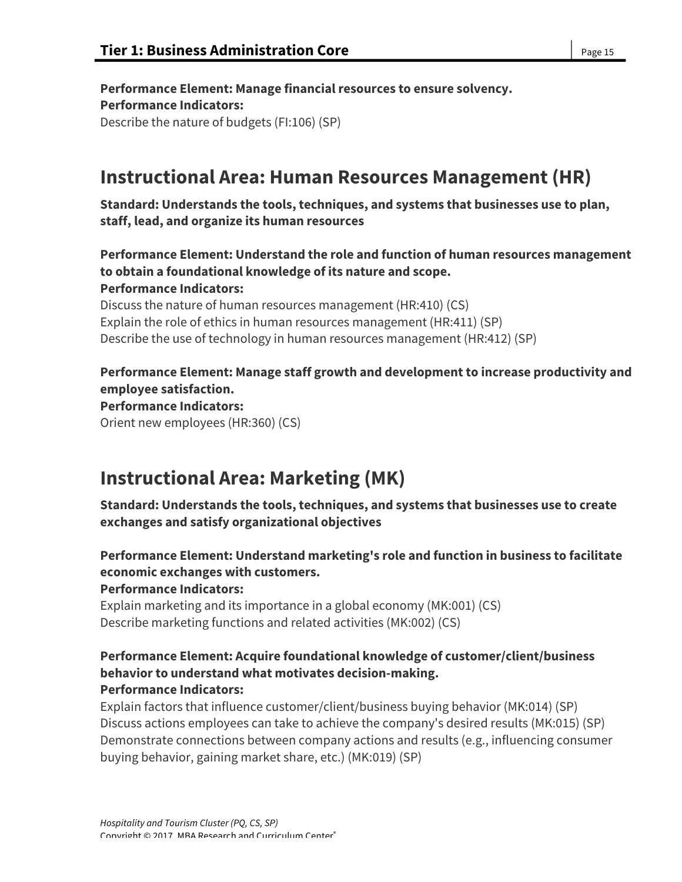**Performance Element: Manage financial resources to ensure solvency. Performance Indicators:** Describe the nature of budgets (FI:106) (SP)

# **Instructional Area: Human Resources Management (HR)**

**Standard: Understands the tools, techniques, and systems that businesses use to plan, staff, lead, and organize its human resources**

**Performance Element: Understand the role and function of human resources management to obtain a foundational knowledge of its nature and scope. Performance Indicators:**

Discuss the nature of human resources management (HR:410) (CS) Explain the role of ethics in human resources management (HR:411) (SP) Describe the use of technology in human resources management (HR:412) (SP)

## **Performance Element: Manage staff growth and development to increase productivity and employee satisfaction.**

#### **Performance Indicators:**

Orient new employees (HR:360) (CS)

# **Instructional Area: Marketing (MK)**

**Standard: Understands the tools, techniques, and systems that businesses use to create exchanges and satisfy organizational objectives**

**Performance Element: Understand marketing's role and function in business to facilitate economic exchanges with customers. Performance Indicators:**

Explain marketing and its importance in a global economy (MK:001) (CS) Describe marketing functions and related activities (MK:002) (CS)

#### **Performance Element: Acquire foundational knowledge of customer/client/business behavior to understand what motivates decision-making. Performance Indicators:**

Explain factors that influence customer/client/business buying behavior (MK:014) (SP) Discuss actions employees can take to achieve the company's desired results (MK:015) (SP) Demonstrate connections between company actions and results (e.g., influencing consumer buying behavior, gaining market share, etc.) (MK:019) (SP)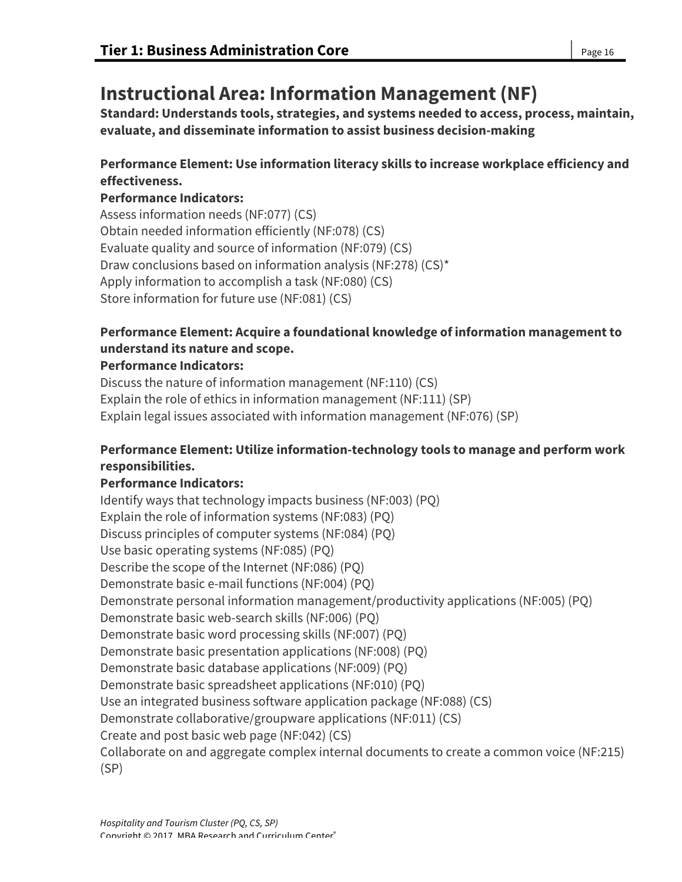# **Instructional Area: Information Management (NF)**

**Standard: Understands tools, strategies, and systems needed to access, process, maintain, evaluate, and disseminate information to assist business decision-making**

## **Performance Element: Use information literacy skills to increase workplace efficiency and effectiveness.**

## **Performance Indicators:**

Assess information needs (NF:077) (CS) Obtain needed information efficiently (NF:078) (CS) Evaluate quality and source of information (NF:079) (CS) Draw conclusions based on information analysis (NF:278) (CS)\* Apply information to accomplish a task (NF:080) (CS) Store information for future use (NF:081) (CS)

## **Performance Element: Acquire a foundational knowledge of information management to understand its nature and scope.**

### **Performance Indicators:**

Discuss the nature of information management (NF:110) (CS) Explain the role of ethics in information management (NF:111) (SP) Explain legal issues associated with information management (NF:076) (SP)

## **Performance Element: Utilize information-technology tools to manage and perform work responsibilities.**

## **Performance Indicators:**

Identify ways that technology impacts business (NF:003) (PQ) Explain the role of information systems (NF:083) (PQ) Discuss principles of computer systems (NF:084) (PQ) Use basic operating systems (NF:085) (PQ) Describe the scope of the Internet (NF:086) (PQ) Demonstrate basic e-mail functions (NF:004) (PQ) Demonstrate personal information management/productivity applications (NF:005) (PQ) Demonstrate basic web-search skills (NF:006) (PQ) Demonstrate basic word processing skills (NF:007) (PQ) Demonstrate basic presentation applications (NF:008) (PQ) Demonstrate basic database applications (NF:009) (PQ) Demonstrate basic spreadsheet applications (NF:010) (PQ) Use an integrated business software application package (NF:088) (CS) Demonstrate collaborative/groupware applications (NF:011) (CS) Create and post basic web page (NF:042) (CS) Collaborate on and aggregate complex internal documents to create a common voice (NF:215) (SP)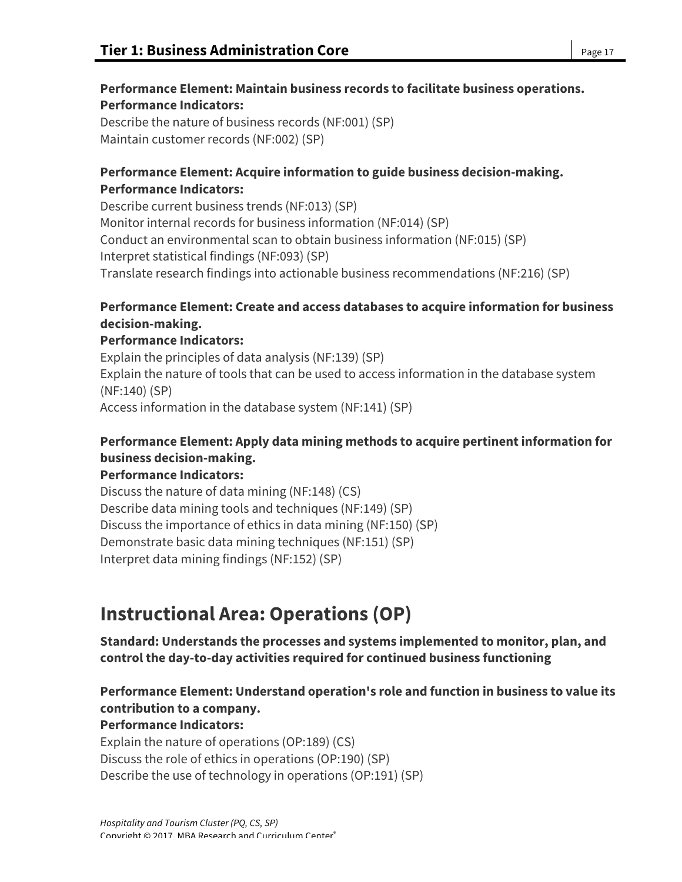# **Performance Element: Maintain business records to facilitate business operations. Performance Indicators:**

Describe the nature of business records (NF:001) (SP) Maintain customer records (NF:002) (SP)

## **Performance Element: Acquire information to guide business decision-making. Performance Indicators:**

Describe current business trends (NF:013) (SP) Monitor internal records for business information (NF:014) (SP) Conduct an environmental scan to obtain business information (NF:015) (SP) Interpret statistical findings (NF:093) (SP) Translate research findings into actionable business recommendations (NF:216) (SP)

## **Performance Element: Create and access databases to acquire information for business decision-making.**

## **Performance Indicators:**

Explain the principles of data analysis (NF:139) (SP) Explain the nature of tools that can be used to access information in the database system (NF:140) (SP) Access information in the database system (NF:141) (SP)

# **Performance Element: Apply data mining methods to acquire pertinent information for business decision-making.**

## **Performance Indicators:**

Discuss the nature of data mining (NF:148) (CS) Describe data mining tools and techniques (NF:149) (SP) Discuss the importance of ethics in data mining (NF:150) (SP) Demonstrate basic data mining techniques (NF:151) (SP) Interpret data mining findings (NF:152) (SP)

# **Instructional Area: Operations (OP)**

**Standard: Understands the processes and systems implemented to monitor, plan, and control the day-to-day activities required for continued business functioning**

## **Performance Element: Understand operation's role and function in business to value its contribution to a company.**

## **Performance Indicators:**

Explain the nature of operations (OP:189) (CS) Discuss the role of ethics in operations (OP:190) (SP) Describe the use of technology in operations (OP:191) (SP)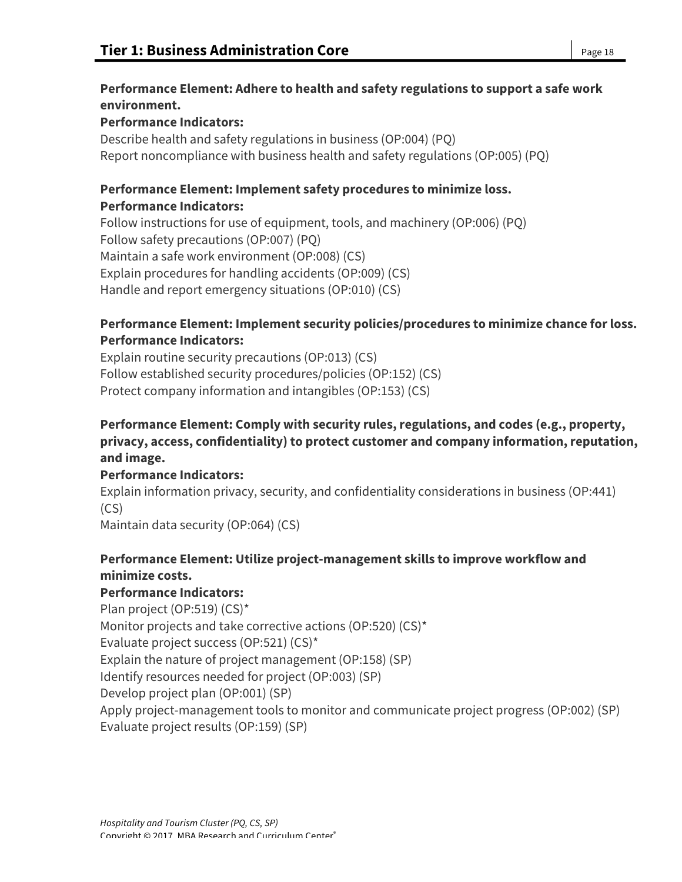## **Performance Element: Adhere to health and safety regulations to support a safe work environment.**

## **Performance Indicators:**

Describe health and safety regulations in business (OP:004) (PQ) Report noncompliance with business health and safety regulations (OP:005) (PQ)

## **Performance Element: Implement safety procedures to minimize loss. Performance Indicators:**

Follow instructions for use of equipment, tools, and machinery (OP:006) (PQ) Follow safety precautions (OP:007) (PQ) Maintain a safe work environment (OP:008) (CS) Explain procedures for handling accidents (OP:009) (CS) Handle and report emergency situations (OP:010) (CS)

## **Performance Element: Implement security policies/procedures to minimize chance for loss. Performance Indicators:**

Explain routine security precautions (OP:013) (CS) Follow established security procedures/policies (OP:152) (CS) Protect company information and intangibles (OP:153) (CS)

## **Performance Element: Comply with security rules, regulations, and codes (e.g., property, privacy, access, confidentiality) to protect customer and company information, reputation, and image.**

# **Performance Indicators:**

Explain information privacy, security, and confidentiality considerations in business (OP:441) (CS)

Maintain data security (OP:064) (CS)

# **Performance Element: Utilize project-management skills to improve workflow and minimize costs.**

# **Performance Indicators:**

Plan project (OP:519) (CS)\* Monitor projects and take corrective actions (OP:520) (CS)\* Evaluate project success (OP:521) (CS)\* Explain the nature of project management (OP:158) (SP) Identify resources needed for project (OP:003) (SP) Develop project plan (OP:001) (SP) Apply project-management tools to monitor and communicate project progress (OP:002) (SP) Evaluate project results (OP:159) (SP)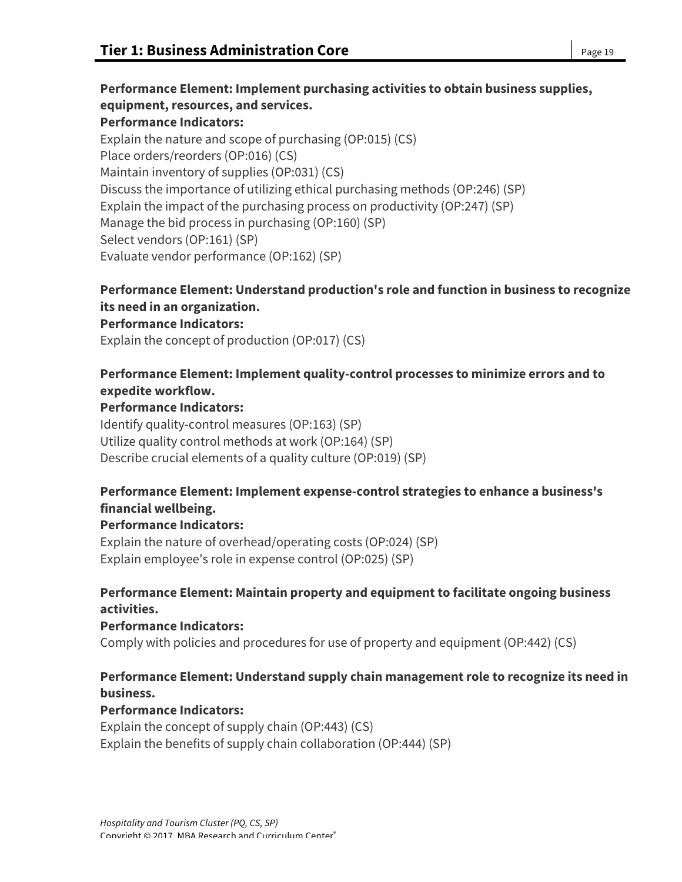**Performance Element: Implement purchasing activities to obtain business supplies, equipment, resources, and services. Performance Indicators:** Explain the nature and scope of purchasing (OP:015) (CS) Place orders/reorders (OP:016) (CS) Maintain inventory of supplies (OP:031) (CS) Discuss the importance of utilizing ethical purchasing methods (OP:246) (SP) Explain the impact of the purchasing process on productivity (OP:247) (SP) Manage the bid process in purchasing (OP:160) (SP) Select vendors (OP:161) (SP) Evaluate vendor performance (OP:162) (SP)

## **Performance Element: Understand production's role and function in business to recognize its need in an organization.**

#### **Performance Indicators:**

Explain the concept of production (OP:017) (CS)

## **Performance Element: Implement quality-control processes to minimize errors and to expedite workflow.**

#### **Performance Indicators:**

Identify quality-control measures (OP:163) (SP) Utilize quality control methods at work (OP:164) (SP) Describe crucial elements of a quality culture (OP:019) (SP)

## **Performance Element: Implement expense-control strategies to enhance a business's financial wellbeing.**

#### **Performance Indicators:**

Explain the nature of overhead/operating costs (OP:024) (SP) Explain employee's role in expense control (OP:025) (SP)

## **Performance Element: Maintain property and equipment to facilitate ongoing business activities.**

#### **Performance Indicators:**

Comply with policies and procedures for use of property and equipment (OP:442) (CS)

## **Performance Element: Understand supply chain management role to recognize its need in business.**

#### **Performance Indicators:**

Explain the concept of supply chain (OP:443) (CS) Explain the benefits of supply chain collaboration (OP:444) (SP)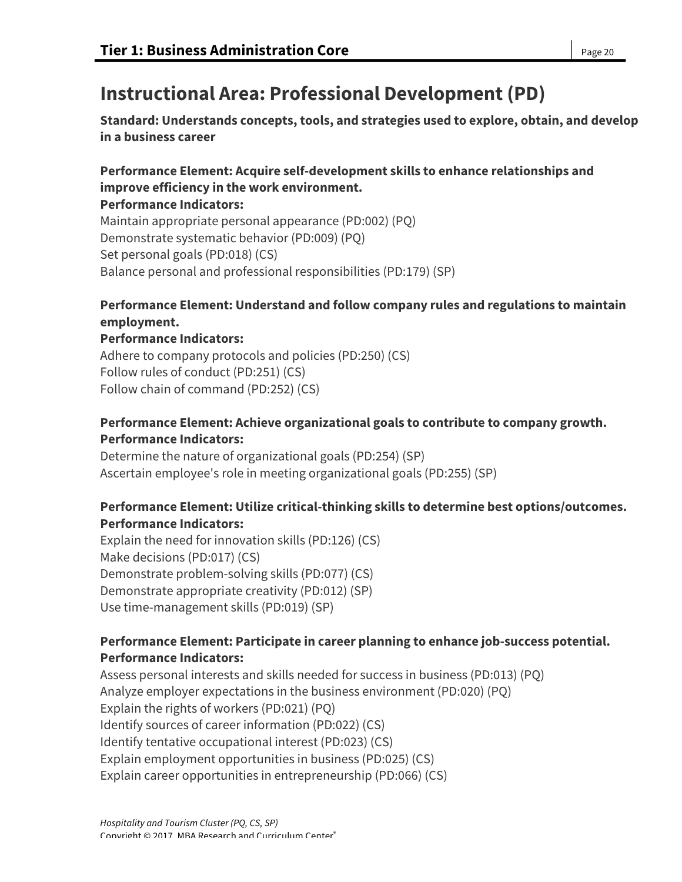# **Instructional Area: Professional Development (PD)**

**Standard: Understands concepts, tools, and strategies used to explore, obtain, and develop in a business career**

## **Performance Element: Acquire self-development skills to enhance relationships and improve efficiency in the work environment.**

### **Performance Indicators:**

Maintain appropriate personal appearance (PD:002) (PQ) Demonstrate systematic behavior (PD:009) (PQ) Set personal goals (PD:018) (CS) Balance personal and professional responsibilities (PD:179) (SP)

## **Performance Element: Understand and follow company rules and regulations to maintain employment.**

## **Performance Indicators:**

Adhere to company protocols and policies (PD:250) (CS) Follow rules of conduct (PD:251) (CS) Follow chain of command (PD:252) (CS)

## **Performance Element: Achieve organizational goals to contribute to company growth. Performance Indicators:**

Determine the nature of organizational goals (PD:254) (SP) Ascertain employee's role in meeting organizational goals (PD:255) (SP)

## **Performance Element: Utilize critical-thinking skills to determine best options/outcomes. Performance Indicators:**

Explain the need for innovation skills (PD:126) (CS) Make decisions (PD:017) (CS) Demonstrate problem-solving skills (PD:077) (CS) Demonstrate appropriate creativity (PD:012) (SP) Use time-management skills (PD:019) (SP)

## **Performance Element: Participate in career planning to enhance job-success potential. Performance Indicators:**

Assess personal interests and skills needed for success in business (PD:013) (PQ) Analyze employer expectations in the business environment (PD:020) (PQ) Explain the rights of workers (PD:021) (PQ) Identify sources of career information (PD:022) (CS) Identify tentative occupational interest (PD:023) (CS) Explain employment opportunities in business (PD:025) (CS) Explain career opportunities in entrepreneurship (PD:066) (CS)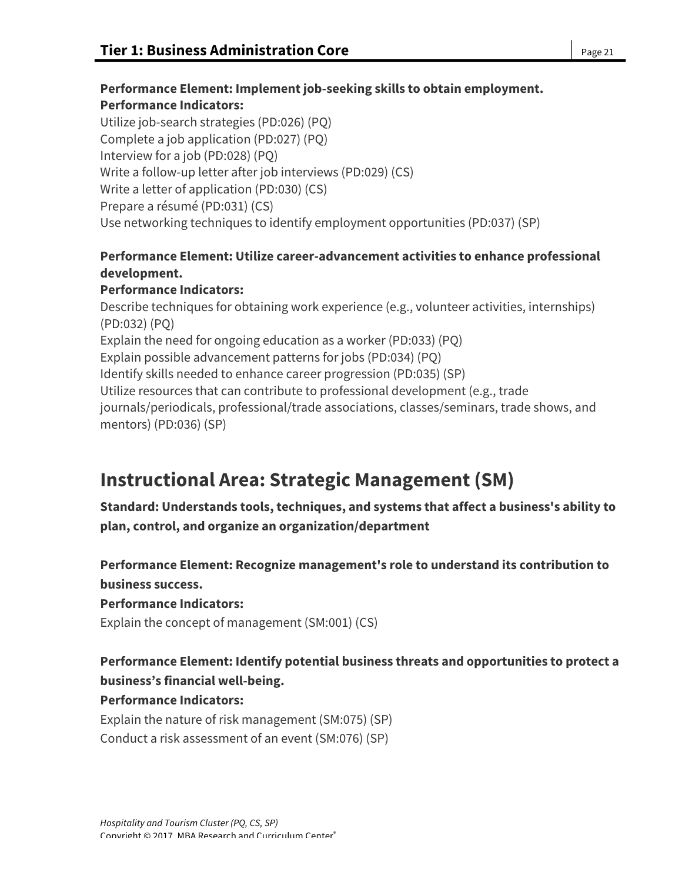## **Performance Element: Implement job-seeking skills to obtain employment. Performance Indicators:**

Utilize job-search strategies (PD:026) (PQ) Complete a job application (PD:027) (PQ) Interview for a job (PD:028) (PQ) Write a follow-up letter after job interviews (PD:029) (CS) Write a letter of application (PD:030) (CS) Prepare a résumé (PD:031) (CS) Use networking techniques to identify employment opportunities (PD:037) (SP)

## **Performance Element: Utilize career-advancement activities to enhance professional development.**

## **Performance Indicators:**

Describe techniques for obtaining work experience (e.g., volunteer activities, internships) (PD:032) (PQ) Explain the need for ongoing education as a worker (PD:033) (PQ) Explain possible advancement patterns for jobs (PD:034) (PQ) Identify skills needed to enhance career progression (PD:035) (SP) Utilize resources that can contribute to professional development (e.g., trade journals/periodicals, professional/trade associations, classes/seminars, trade shows, and mentors) (PD:036) (SP)

# **Instructional Area: Strategic Management (SM)**

**Standard: Understands tools, techniques, and systems that affect a business's ability to plan, control, and organize an organization/department**

**Performance Element: Recognize management's role to understand its contribution to business success.**

**Performance Indicators:**

Explain the concept of management (SM:001) (CS)

# **Performance Element: Identify potential business threats and opportunities to protect a business's financial well-being.**

## **Performance Indicators:**

Explain the nature of risk management (SM:075) (SP) Conduct a risk assessment of an event (SM:076) (SP)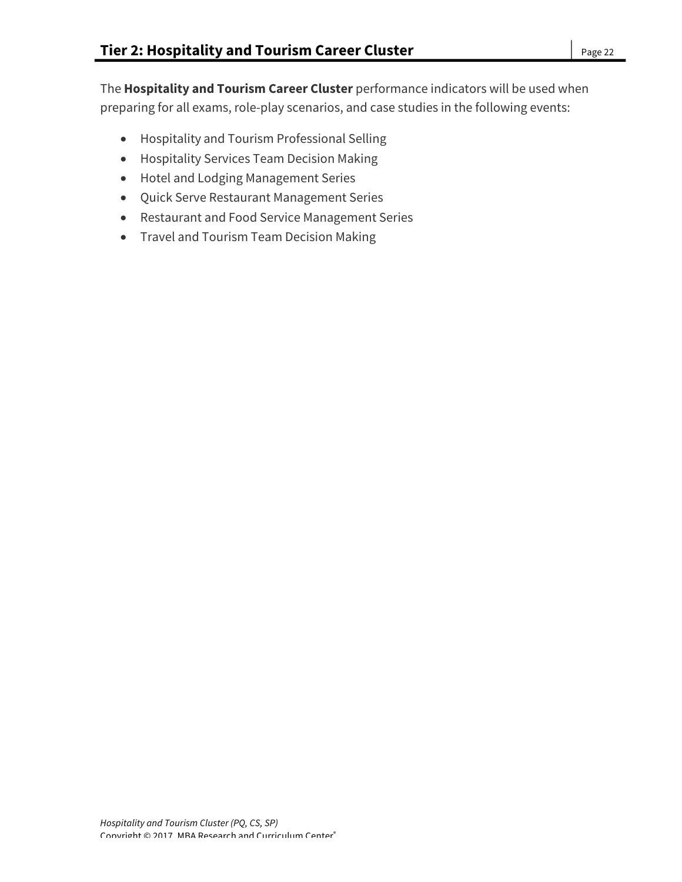The **Hospitality and Tourism Career Cluster** performance indicators will be used when preparing for all exams, role-play scenarios, and case studies in the following events:

- Hospitality and Tourism Professional Selling
- Hospitality Services Team Decision Making
- Hotel and Lodging Management Series
- Quick Serve Restaurant Management Series
- Restaurant and Food Service Management Series
- Travel and Tourism Team Decision Making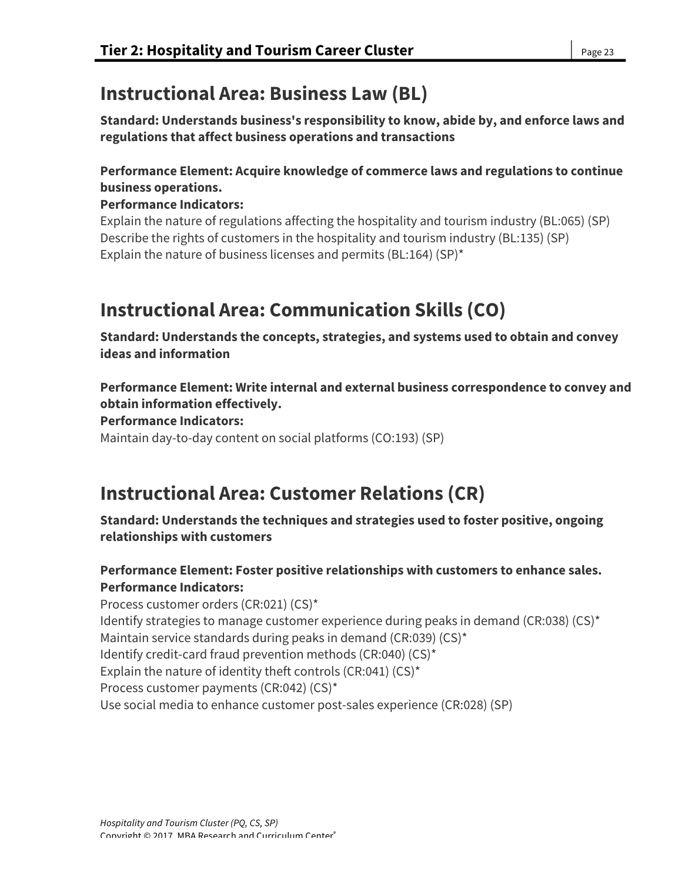# **Instructional Area: Business Law (BL)**

**Standard: Understands business's responsibility to know, abide by, and enforce laws and regulations that affect business operations and transactions**

## **Performance Element: Acquire knowledge of commerce laws and regulations to continue business operations.**

### **Performance Indicators:**

Explain the nature of regulations affecting the hospitality and tourism industry (BL:065) (SP) Describe the rights of customers in the hospitality and tourism industry (BL:135) (SP) Explain the nature of business licenses and permits (BL:164) (SP)\*

# **Instructional Area: Communication Skills (CO)**

**Standard: Understands the concepts, strategies, and systems used to obtain and convey ideas and information**

**Performance Element: Write internal and external business correspondence to convey and obtain information effectively.**

**Performance Indicators:**

Maintain day-to-day content on social platforms (CO:193) (SP)

# **Instructional Area: Customer Relations (CR)**

**Standard: Understands the techniques and strategies used to foster positive, ongoing relationships with customers**

## **Performance Element: Foster positive relationships with customers to enhance sales. Performance Indicators:**

Process customer orders (CR:021) (CS)\* Identify strategies to manage customer experience during peaks in demand (CR:038) (CS)\* Maintain service standards during peaks in demand (CR:039) (CS)\* Identify credit-card fraud prevention methods (CR:040) (CS)\* Explain the nature of identity theft controls (CR:041) (CS)\* Process customer payments (CR:042) (CS)\* Use social media to enhance customer post-sales experience (CR:028) (SP)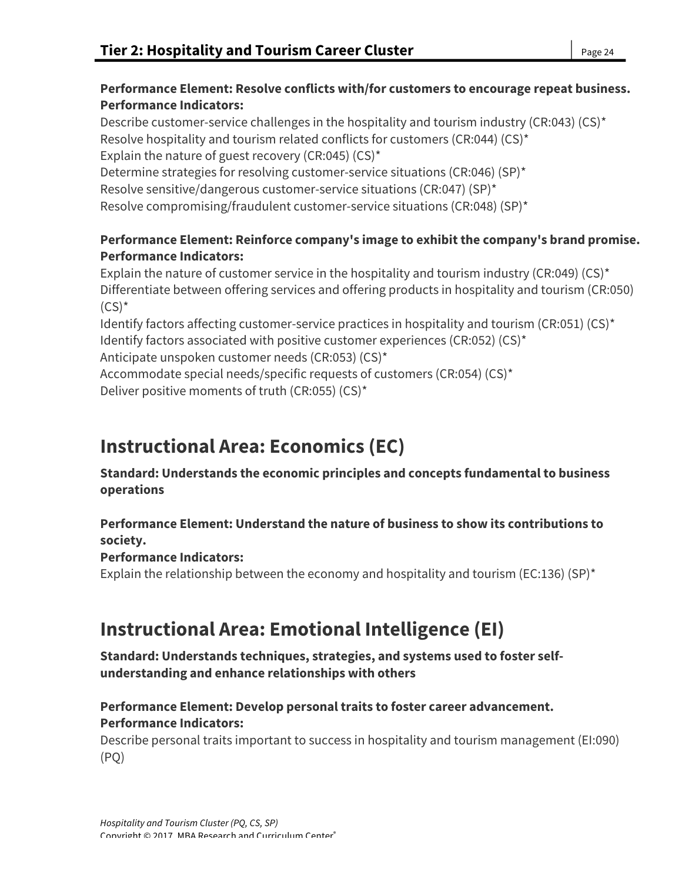Describe customer-service challenges in the hospitality and tourism industry (CR:043) (CS)\* Resolve hospitality and tourism related conflicts for customers (CR:044) (CS)\* Explain the nature of guest recovery (CR:045) (CS)\* Determine strategies for resolving customer-service situations (CR:046) (SP)\* Resolve sensitive/dangerous customer-service situations (CR:047) (SP)\* Resolve compromising/fraudulent customer-service situations (CR:048) (SP)\*

## **Performance Element: Reinforce company's image to exhibit the company's brand promise. Performance Indicators:**

Explain the nature of customer service in the hospitality and tourism industry (CR:049) (CS)\* Differentiate between offering services and offering products in hospitality and tourism (CR:050)  $(CS)^*$ 

Identify factors affecting customer-service practices in hospitality and tourism (CR:051) (CS)\* Identify factors associated with positive customer experiences (CR:052) (CS)\*

Anticipate unspoken customer needs (CR:053) (CS)\*

Accommodate special needs/specific requests of customers (CR:054) (CS)\* Deliver positive moments of truth (CR:055) (CS)\*

# **Instructional Area: Economics (EC)**

**Standard: Understands the economic principles and concepts fundamental to business operations**

## **Performance Element: Understand the nature of business to show its contributions to society.**

## **Performance Indicators:**

Explain the relationship between the economy and hospitality and tourism (EC:136) (SP)<sup>\*</sup>

# **Instructional Area: Emotional Intelligence (EI)**

**Standard: Understands techniques, strategies, and systems used to foster selfunderstanding and enhance relationships with others**

## **Performance Element: Develop personal traits to foster career advancement. Performance Indicators:**

Describe personal traits important to success in hospitality and tourism management (EI:090) (PQ)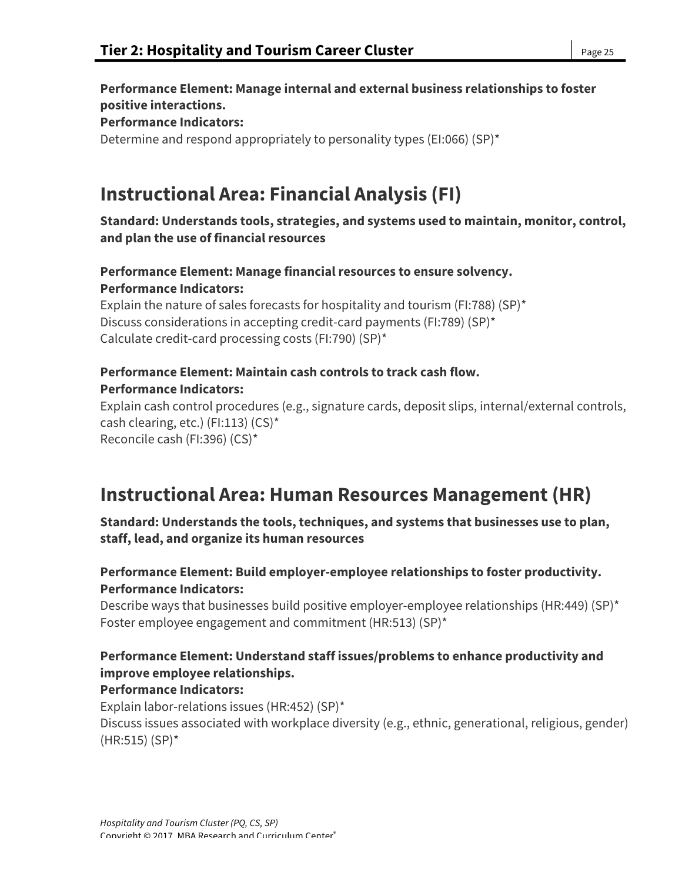**Performance Element: Manage internal and external business relationships to foster positive interactions. Performance Indicators:** Determine and respond appropriately to personality types (EI:066) (SP)\*

# **Instructional Area: Financial Analysis (FI)**

## **Standard: Understands tools, strategies, and systems used to maintain, monitor, control, and plan the use of financial resources**

## **Performance Element: Manage financial resources to ensure solvency. Performance Indicators:**

Explain the nature of sales forecasts for hospitality and tourism (FI:788) (SP)\* Discuss considerations in accepting credit-card payments (FI:789) (SP)\* Calculate credit-card processing costs (FI:790) (SP)\*

## **Performance Element: Maintain cash controls to track cash flow. Performance Indicators:**

Explain cash control procedures (e.g., signature cards, deposit slips, internal/external controls, cash clearing, etc.) (FI:113) (CS)\* Reconcile cash (FI:396) (CS)\*

# **Instructional Area: Human Resources Management (HR)**

**Standard: Understands the tools, techniques, and systems that businesses use to plan, staff, lead, and organize its human resources**

## **Performance Element: Build employer-employee relationships to foster productivity. Performance Indicators:**

Describe ways that businesses build positive employer-employee relationships (HR:449) (SP)\* Foster employee engagement and commitment (HR:513) (SP)\*

# **Performance Element: Understand staff issues/problems to enhance productivity and improve employee relationships.**

## **Performance Indicators:**

Explain labor-relations issues (HR:452) (SP)\* Discuss issues associated with workplace diversity (e.g., ethnic, generational, religious, gender) (HR:515) (SP)\*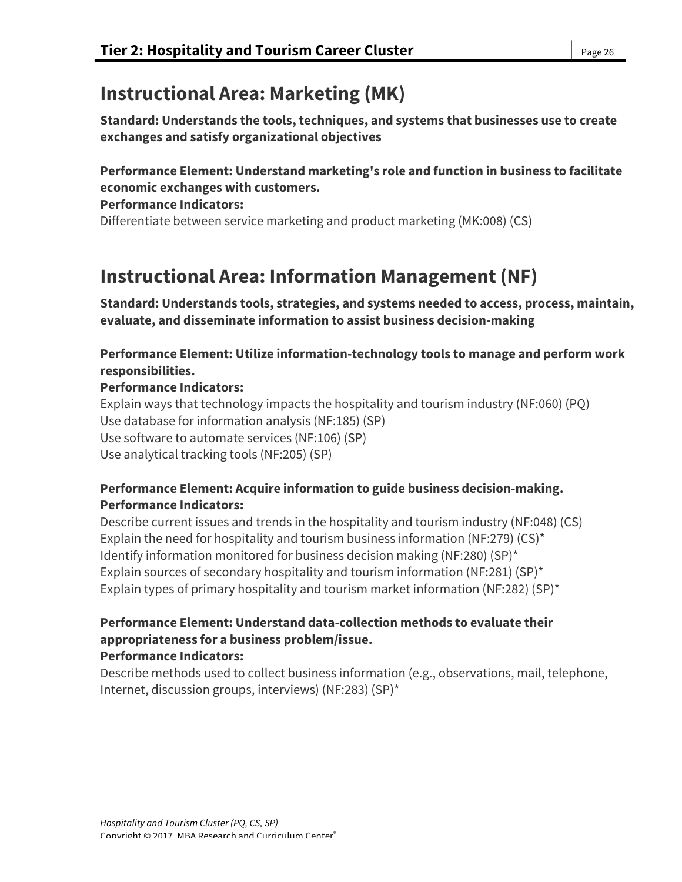# **Instructional Area: Marketing (MK)**

**Standard: Understands the tools, techniques, and systems that businesses use to create exchanges and satisfy organizational objectives**

## **Performance Element: Understand marketing's role and function in business to facilitate economic exchanges with customers.**

#### **Performance Indicators:**

Differentiate between service marketing and product marketing (MK:008) (CS)

# **Instructional Area: Information Management (NF)**

**Standard: Understands tools, strategies, and systems needed to access, process, maintain, evaluate, and disseminate information to assist business decision-making**

## **Performance Element: Utilize information-technology tools to manage and perform work responsibilities.**

### **Performance Indicators:**

Explain ways that technology impacts the hospitality and tourism industry (NF:060) (PQ) Use database for information analysis (NF:185) (SP) Use software to automate services (NF:106) (SP) Use analytical tracking tools (NF:205) (SP)

## **Performance Element: Acquire information to guide business decision-making. Performance Indicators:**

Describe current issues and trends in the hospitality and tourism industry (NF:048) (CS) Explain the need for hospitality and tourism business information (NF:279) (CS)\* Identify information monitored for business decision making (NF:280) (SP)\* Explain sources of secondary hospitality and tourism information (NF:281) (SP)\* Explain types of primary hospitality and tourism market information (NF:282) (SP)<sup>\*</sup>

#### **Performance Element: Understand data-collection methods to evaluate their appropriateness for a business problem/issue. Performance Indicators:**

Describe methods used to collect business information (e.g., observations, mail, telephone, Internet, discussion groups, interviews) (NF:283) (SP)\*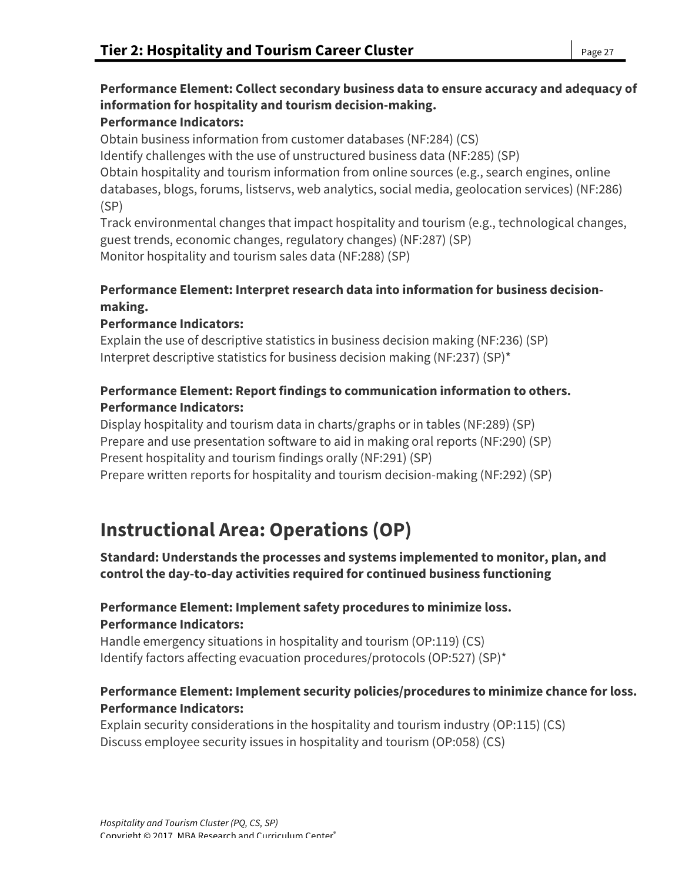# **Performance Element: Collect secondary business data to ensure accuracy and adequacy of information for hospitality and tourism decision-making.**

# **Performance Indicators:**

Obtain business information from customer databases (NF:284) (CS) Identify challenges with the use of unstructured business data (NF:285) (SP) Obtain hospitality and tourism information from online sources (e.g., search engines, online databases, blogs, forums, listservs, web analytics, social media, geolocation services) (NF:286) (SP)

Track environmental changes that impact hospitality and tourism (e.g., technological changes, guest trends, economic changes, regulatory changes) (NF:287) (SP) Monitor hospitality and tourism sales data (NF:288) (SP)

## **Performance Element: Interpret research data into information for business decisionmaking.**

## **Performance Indicators:**

Explain the use of descriptive statistics in business decision making (NF:236) (SP) Interpret descriptive statistics for business decision making (NF:237) (SP)\*

## **Performance Element: Report findings to communication information to others. Performance Indicators:**

Display hospitality and tourism data in charts/graphs or in tables (NF:289) (SP) Prepare and use presentation software to aid in making oral reports (NF:290) (SP) Present hospitality and tourism findings orally (NF:291) (SP) Prepare written reports for hospitality and tourism decision-making (NF:292) (SP)

# **Instructional Area: Operations (OP)**

**Standard: Understands the processes and systems implemented to monitor, plan, and control the day-to-day activities required for continued business functioning**

## **Performance Element: Implement safety procedures to minimize loss. Performance Indicators:**

Handle emergency situations in hospitality and tourism (OP:119) (CS) Identify factors affecting evacuation procedures/protocols (OP:527) (SP)\*

## **Performance Element: Implement security policies/procedures to minimize chance for loss. Performance Indicators:**

Explain security considerations in the hospitality and tourism industry (OP:115) (CS) Discuss employee security issues in hospitality and tourism (OP:058) (CS)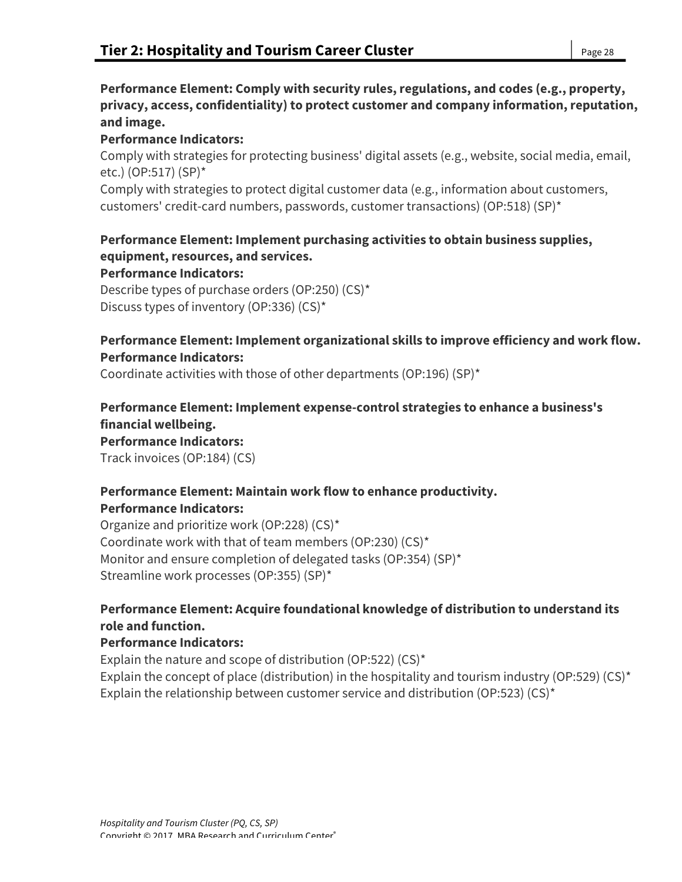## **Performance Element: Comply with security rules, regulations, and codes (e.g., property, privacy, access, confidentiality) to protect customer and company information, reputation, and image.**

### **Performance Indicators:**

Comply with strategies for protecting business' digital assets (e.g., website, social media, email, etc.) (OP:517) (SP)\*

Comply with strategies to protect digital customer data (e.g., information about customers, customers' credit-card numbers, passwords, customer transactions) (OP:518) (SP)\*

# **Performance Element: Implement purchasing activities to obtain business supplies, equipment, resources, and services.**

**Performance Indicators:**

Describe types of purchase orders (OP:250) (CS)\* Discuss types of inventory (OP:336) (CS)\*

## **Performance Element: Implement organizational skills to improve efficiency and work flow. Performance Indicators:**

Coordinate activities with those of other departments (OP:196) (SP)\*

**Performance Element: Implement expense-control strategies to enhance a business's financial wellbeing. Performance Indicators:** Track invoices (OP:184) (CS)

#### **Performance Element: Maintain work flow to enhance productivity. Performance Indicators:**

Organize and prioritize work (OP:228) (CS)\* Coordinate work with that of team members (OP:230) (CS)\* Monitor and ensure completion of delegated tasks (OP:354) (SP)\* Streamline work processes (OP:355) (SP)\*

## **Performance Element: Acquire foundational knowledge of distribution to understand its role and function.**

## **Performance Indicators:**

Explain the nature and scope of distribution (OP:522) (CS)\* Explain the concept of place (distribution) in the hospitality and tourism industry (OP:529) (CS)<sup>\*</sup> Explain the relationship between customer service and distribution (OP:523) (CS)<sup>\*</sup>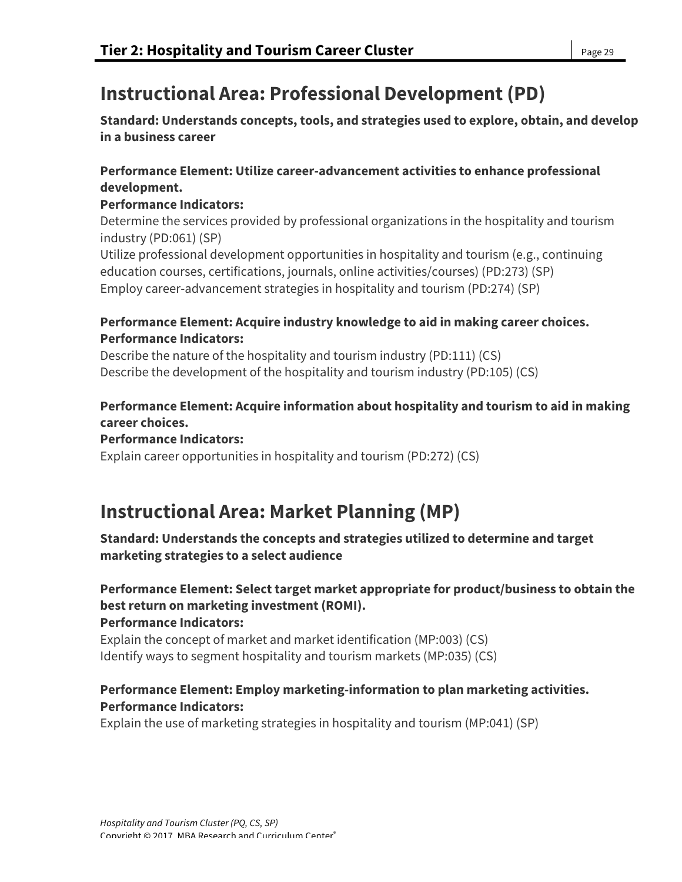# **Instructional Area: Professional Development (PD)**

**Standard: Understands concepts, tools, and strategies used to explore, obtain, and develop in a business career**

## **Performance Element: Utilize career-advancement activities to enhance professional development.**

# **Performance Indicators:**

Determine the services provided by professional organizations in the hospitality and tourism industry (PD:061) (SP)

Utilize professional development opportunities in hospitality and tourism (e.g., continuing education courses, certifications, journals, online activities/courses) (PD:273) (SP) Employ career-advancement strategies in hospitality and tourism (PD:274) (SP)

## **Performance Element: Acquire industry knowledge to aid in making career choices. Performance Indicators:**

Describe the nature of the hospitality and tourism industry (PD:111) (CS) Describe the development of the hospitality and tourism industry (PD:105) (CS)

# **Performance Element: Acquire information about hospitality and tourism to aid in making career choices.**

# **Performance Indicators:**

Explain career opportunities in hospitality and tourism (PD:272) (CS)

# **Instructional Area: Market Planning (MP)**

## **Standard: Understands the concepts and strategies utilized to determine and target marketing strategies to a select audience**

**Performance Element: Select target market appropriate for product/business to obtain the best return on marketing investment (ROMI). Performance Indicators:**

Explain the concept of market and market identification (MP:003) (CS) Identify ways to segment hospitality and tourism markets (MP:035) (CS)

# **Performance Element: Employ marketing-information to plan marketing activities. Performance Indicators:**

Explain the use of marketing strategies in hospitality and tourism (MP:041) (SP)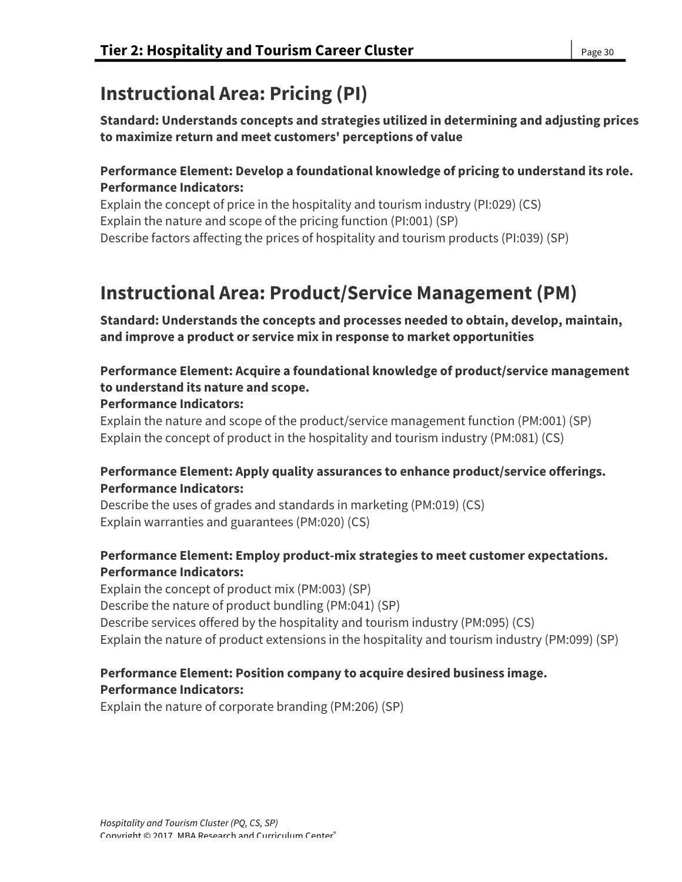# **Instructional Area: Pricing (PI)**

**Standard: Understands concepts and strategies utilized in determining and adjusting prices to maximize return and meet customers' perceptions of value**

## **Performance Element: Develop a foundational knowledge of pricing to understand its role. Performance Indicators:**

Explain the concept of price in the hospitality and tourism industry (PI:029) (CS) Explain the nature and scope of the pricing function (PI:001) (SP) Describe factors affecting the prices of hospitality and tourism products (PI:039) (SP)

# **Instructional Area: Product/Service Management (PM)**

**Standard: Understands the concepts and processes needed to obtain, develop, maintain, and improve a product or service mix in response to market opportunities**

## **Performance Element: Acquire a foundational knowledge of product/service management to understand its nature and scope.**

### **Performance Indicators:**

Explain the nature and scope of the product/service management function (PM:001) (SP) Explain the concept of product in the hospitality and tourism industry (PM:081) (CS)

## **Performance Element: Apply quality assurances to enhance product/service offerings. Performance Indicators:**

Describe the uses of grades and standards in marketing (PM:019) (CS) Explain warranties and guarantees (PM:020) (CS)

## **Performance Element: Employ product-mix strategies to meet customer expectations. Performance Indicators:**

Explain the concept of product mix (PM:003) (SP) Describe the nature of product bundling (PM:041) (SP) Describe services offered by the hospitality and tourism industry (PM:095) (CS) Explain the nature of product extensions in the hospitality and tourism industry (PM:099) (SP)

## **Performance Element: Position company to acquire desired business image. Performance Indicators:**

Explain the nature of corporate branding (PM:206) (SP)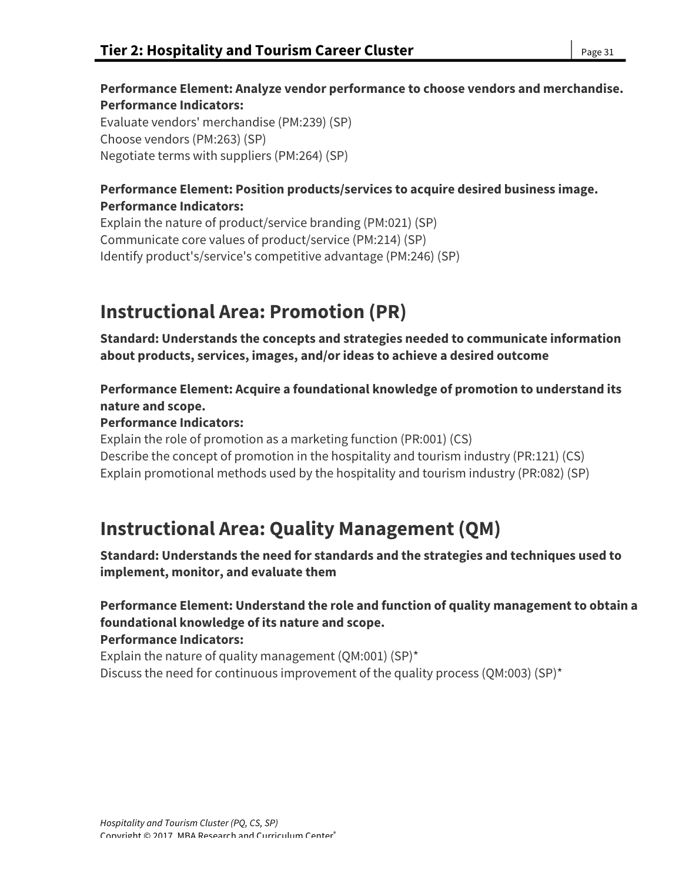## **Performance Element: Analyze vendor performance to choose vendors and merchandise. Performance Indicators:**

Evaluate vendors' merchandise (PM:239) (SP) Choose vendors (PM:263) (SP) Negotiate terms with suppliers (PM:264) (SP)

## **Performance Element: Position products/services to acquire desired business image. Performance Indicators:**

Explain the nature of product/service branding (PM:021) (SP) Communicate core values of product/service (PM:214) (SP) Identify product's/service's competitive advantage (PM:246) (SP)

# **Instructional Area: Promotion (PR)**

**Standard: Understands the concepts and strategies needed to communicate information about products, services, images, and/or ideas to achieve a desired outcome**

**Performance Element: Acquire a foundational knowledge of promotion to understand its nature and scope.**

# **Performance Indicators:**

Explain the role of promotion as a marketing function (PR:001) (CS) Describe the concept of promotion in the hospitality and tourism industry (PR:121) (CS) Explain promotional methods used by the hospitality and tourism industry (PR:082) (SP)

# **Instructional Area: Quality Management (QM)**

**Standard: Understands the need for standards and the strategies and techniques used to implement, monitor, and evaluate them**

#### **Performance Element: Understand the role and function of quality management to obtain a foundational knowledge of its nature and scope. Performance Indicators:**

Explain the nature of quality management (QM:001) (SP)\* Discuss the need for continuous improvement of the quality process (QM:003) (SP)\*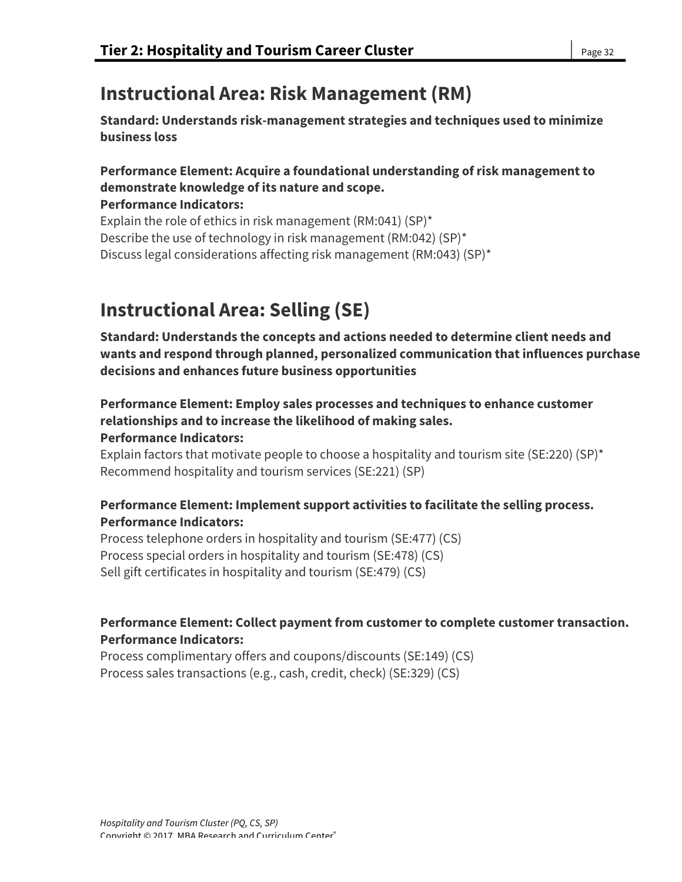# **Instructional Area: Risk Management (RM)**

**Standard: Understands risk-management strategies and techniques used to minimize business loss**

# **Performance Element: Acquire a foundational understanding of risk management to demonstrate knowledge of its nature and scope.**

**Performance Indicators:** Explain the role of ethics in risk management (RM:041) (SP)\* Describe the use of technology in risk management (RM:042) (SP)\* Discuss legal considerations affecting risk management (RM:043) (SP)\*

# **Instructional Area: Selling (SE)**

**Standard: Understands the concepts and actions needed to determine client needs and wants and respond through planned, personalized communication that influences purchase decisions and enhances future business opportunities**

# **Performance Element: Employ sales processes and techniques to enhance customer relationships and to increase the likelihood of making sales.**

### **Performance Indicators:**

Explain factors that motivate people to choose a hospitality and tourism site (SE:220) (SP)<sup>\*</sup> Recommend hospitality and tourism services (SE:221) (SP)

## **Performance Element: Implement support activities to facilitate the selling process. Performance Indicators:**

Process telephone orders in hospitality and tourism (SE:477) (CS) Process special orders in hospitality and tourism (SE:478) (CS) Sell gift certificates in hospitality and tourism (SE:479) (CS)

## **Performance Element: Collect payment from customer to complete customer transaction. Performance Indicators:**

Process complimentary offers and coupons/discounts (SE:149) (CS) Process sales transactions (e.g., cash, credit, check) (SE:329) (CS)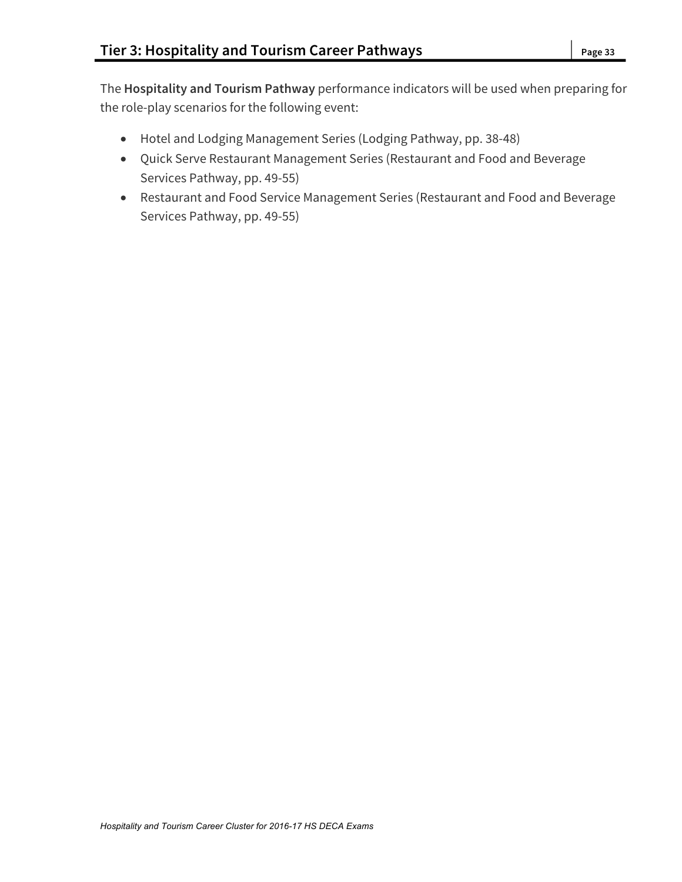The **Hospitality and Tourism Pathway** performance indicators will be used when preparing for the role-play scenarios for the following event:

- Hotel and Lodging Management Series (Lodging Pathway, pp. 38-48)
- Quick Serve Restaurant Management Series (Restaurant and Food and Beverage Services Pathway, pp. 49-55)
- Restaurant and Food Service Management Series (Restaurant and Food and Beverage Services Pathway, pp. 49-55)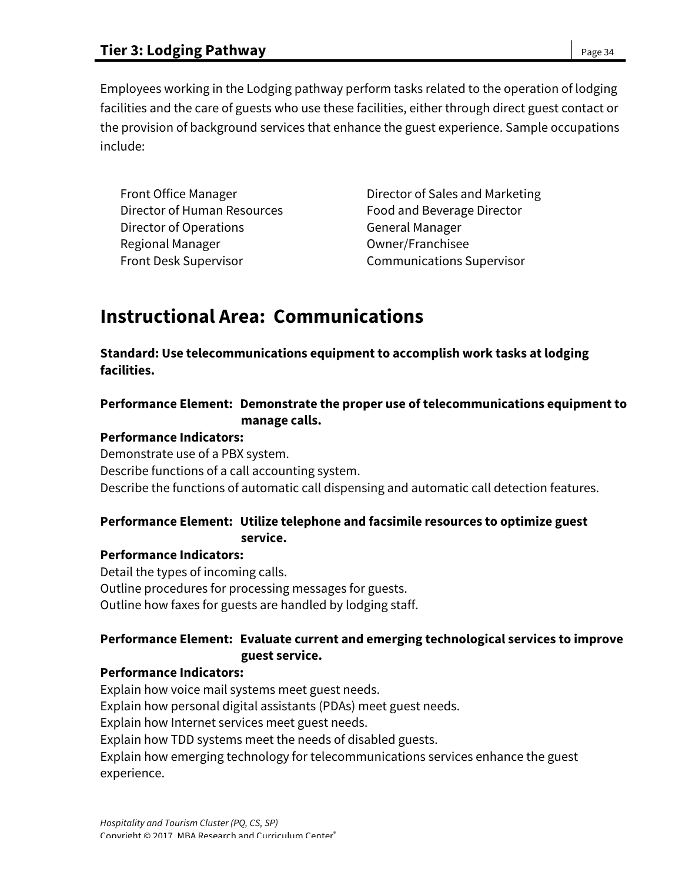Employees working in the Lodging pathway perform tasks related to the operation of lodging facilities and the care of guests who use these facilities, either through direct guest contact or the provision of background services that enhance the guest experience. Sample occupations include:

| <b>Front Office Manager</b>  |
|------------------------------|
| Director of Human Resources  |
| Director of Operations       |
| Regional Manager             |
| <b>Front Desk Supervisor</b> |

Director of Sales and Marketing Food and Beverage Director General Manager **Owner/Franchisee** Front Desk Supervisor Communications Supervisor

# **Instructional Area: Communications**

**Standard: Use telecommunications equipment to accomplish work tasks at lodging facilities.**

## **Performance Element: Demonstrate the proper use of telecommunications equipment to manage calls.**

#### **Performance Indicators:**

Demonstrate use of a PBX system. Describe functions of a call accounting system. Describe the functions of automatic call dispensing and automatic call detection features.

## **Performance Element: Utilize telephone and facsimile resources to optimize guest service.**

#### **Performance Indicators:**

Detail the types of incoming calls. Outline procedures for processing messages for guests. Outline how faxes for guests are handled by lodging staff.

## **Performance Element: Evaluate current and emerging technological services to improve guest service.**

#### **Performance Indicators:**

Explain how voice mail systems meet guest needs. Explain how personal digital assistants (PDAs) meet guest needs. Explain how Internet services meet guest needs. Explain how TDD systems meet the needs of disabled guests. Explain how emerging technology for telecommunications services enhance the guest experience.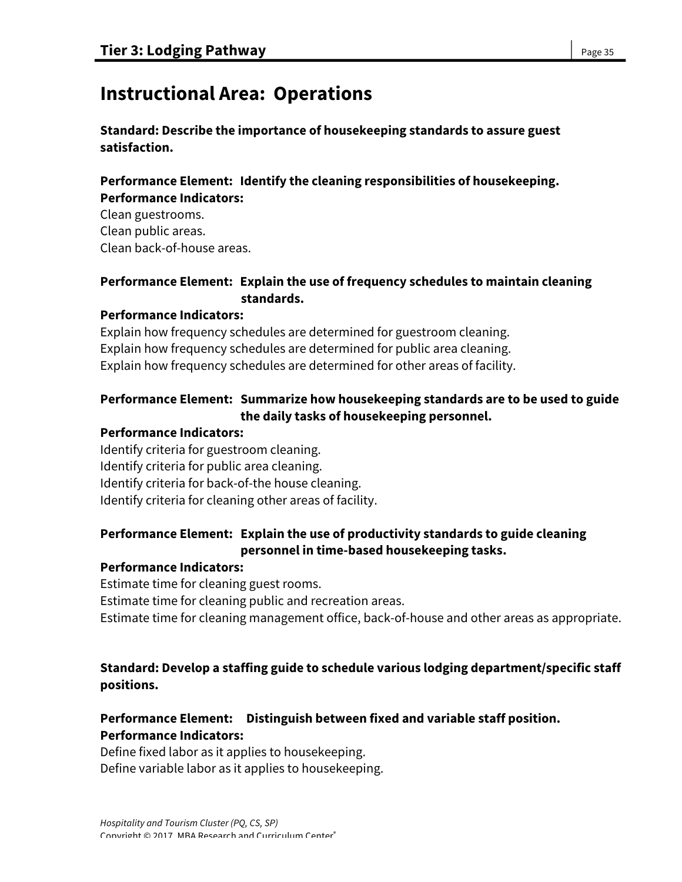# **Instructional Area: Operations**

### **Standard: Describe the importance of housekeeping standards to assure guest satisfaction.**

#### **Performance Element: Identify the cleaning responsibilities of housekeeping. Performance Indicators:**

Clean guestrooms. Clean public areas. Clean back-of-house areas.

### **Performance Element: Explain the use of frequency schedules to maintain cleaning standards.**

## **Performance Indicators:**

Explain how frequency schedules are determined for guestroom cleaning. Explain how frequency schedules are determined for public area cleaning. Explain how frequency schedules are determined for other areas of facility.

## **Performance Element: Summarize how housekeeping standards are to be used to guide the daily tasks of housekeeping personnel.**

### **Performance Indicators:**

Identify criteria for guestroom cleaning. Identify criteria for public area cleaning. Identify criteria for back-of-the house cleaning. Identify criteria for cleaning other areas of facility.

## **Performance Element: Explain the use of productivity standards to guide cleaning personnel in time-based housekeeping tasks.**

#### **Performance Indicators:**

Estimate time for cleaning guest rooms.

Estimate time for cleaning public and recreation areas.

Estimate time for cleaning management office, back-of-house and other areas as appropriate.

## **Standard: Develop a staffing guide to schedule various lodging department/specific staff positions.**

## **Performance Element: Distinguish between fixed and variable staff position. Performance Indicators:**

Define fixed labor as it applies to housekeeping. Define variable labor as it applies to housekeeping.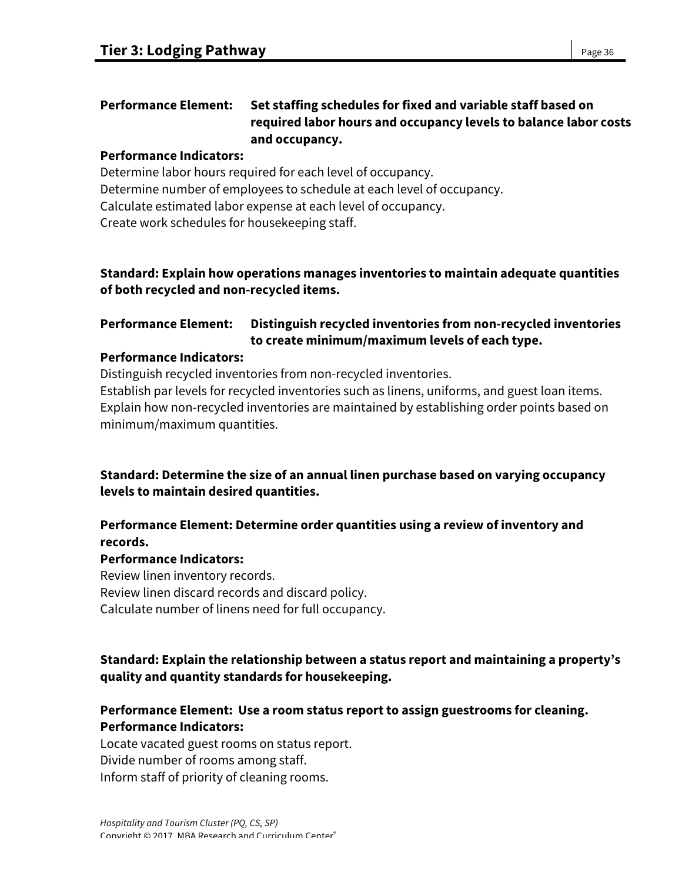## **Performance Element: Set staffing schedules for fixed and variable staff based on required labor hours and occupancy levels to balance labor costs and occupancy.**

# **Performance Indicators:**

Determine labor hours required for each level of occupancy. Determine number of employees to schedule at each level of occupancy. Calculate estimated labor expense at each level of occupancy. Create work schedules for housekeeping staff.

## **Standard: Explain how operations manages inventories to maintain adequate quantities of both recycled and non-recycled items.**

# **Performance Element: Distinguish recycled inventories from non-recycled inventories to create minimum/maximum levels of each type.**

## **Performance Indicators:**

Distinguish recycled inventories from non-recycled inventories.

Establish par levels for recycled inventories such as linens, uniforms, and guest loan items. Explain how non-recycled inventories are maintained by establishing order points based on minimum/maximum quantities.

**Standard: Determine the size of an annual linen purchase based on varying occupancy levels to maintain desired quantities.**

## **Performance Element: Determine order quantities using a review of inventory and records.**

# **Performance Indicators:**

Review linen inventory records. Review linen discard records and discard policy. Calculate number of linens need for full occupancy.

## **Standard: Explain the relationship between a status report and maintaining a property's quality and quantity standards for housekeeping.**

# **Performance Element: Use a room status report to assign guestrooms for cleaning. Performance Indicators:**

Locate vacated guest rooms on status report. Divide number of rooms among staff. Inform staff of priority of cleaning rooms.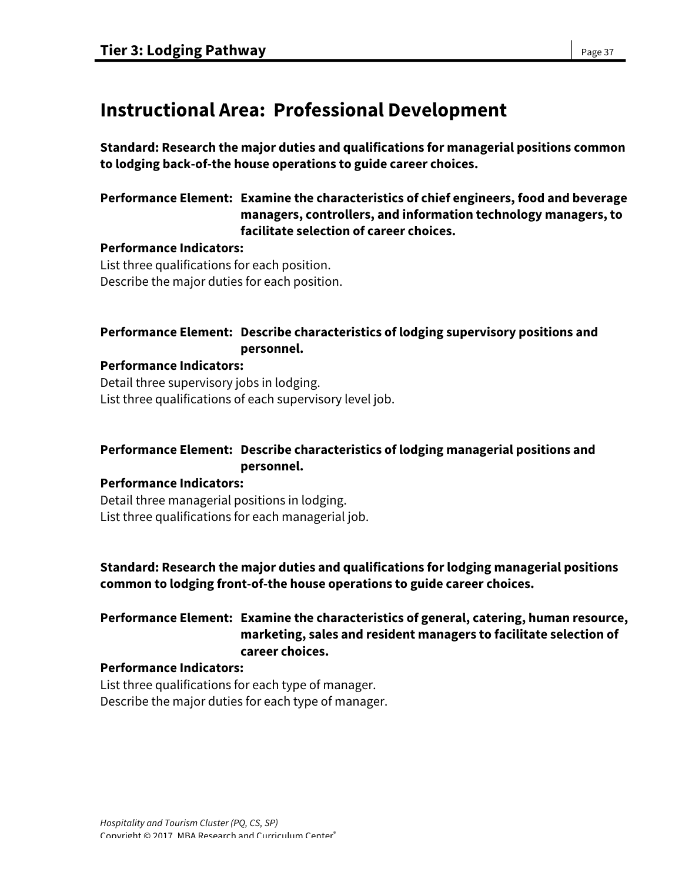# **Instructional Area: Professional Development**

**Standard: Research the major duties and qualifications for managerial positions common to lodging back-of-the house operations to guide career choices.**

## **Performance Element: Examine the characteristics of chief engineers, food and beverage managers, controllers, and information technology managers, to facilitate selection of career choices.**

#### **Performance Indicators:**

List three qualifications for each position. Describe the major duties for each position.

### **Performance Element: Describe characteristics of lodging supervisory positions and personnel.**

#### **Performance Indicators:**

Detail three supervisory jobs in lodging. List three qualifications of each supervisory level job.

### **Performance Element: Describe characteristics of lodging managerial positions and personnel.**

#### **Performance Indicators:**

Detail three managerial positions in lodging. List three qualifications for each managerial job.

## **Standard: Research the major duties and qualifications for lodging managerial positions common to lodging front-of-the house operations to guide career choices.**

## **Performance Element: Examine the characteristics of general, catering, human resource, marketing, sales and resident managers to facilitate selection of career choices.**

#### **Performance Indicators:**

List three qualifications for each type of manager. Describe the major duties for each type of manager.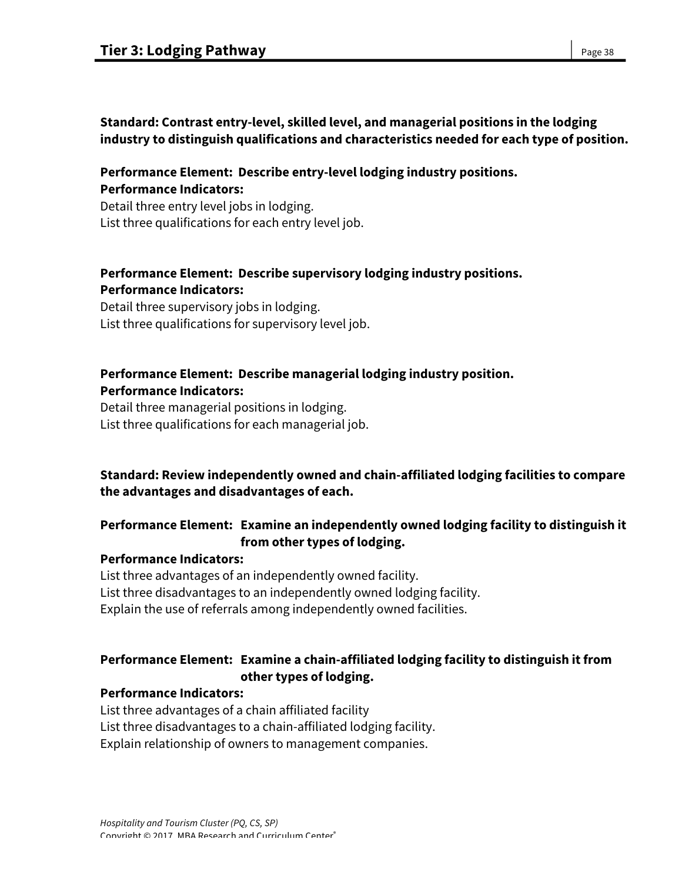## **Standard: Contrast entry-level, skilled level, and managerial positions in the lodging industry to distinguish qualifications and characteristics needed for each type of position.**

## **Performance Element: Describe entry-level lodging industry positions. Performance Indicators:**

Detail three entry level jobs in lodging. List three qualifications for each entry level job.

## **Performance Element: Describe supervisory lodging industry positions. Performance Indicators:**

Detail three supervisory jobs in lodging. List three qualifications for supervisory level job.

## **Performance Element: Describe managerial lodging industry position. Performance Indicators:**

Detail three managerial positions in lodging. List three qualifications for each managerial job.

## **Standard: Review independently owned and chain-affiliated lodging facilities to compare the advantages and disadvantages of each.**

## **Performance Element: Examine an independently owned lodging facility to distinguish it from other types of lodging.**

## **Performance Indicators:**

List three advantages of an independently owned facility. List three disadvantages to an independently owned lodging facility. Explain the use of referrals among independently owned facilities.

## **Performance Element: Examine a chain-affiliated lodging facility to distinguish it from other types of lodging.**

#### **Performance Indicators:**

List three advantages of a chain affiliated facility List three disadvantages to a chain-affiliated lodging facility. Explain relationship of owners to management companies.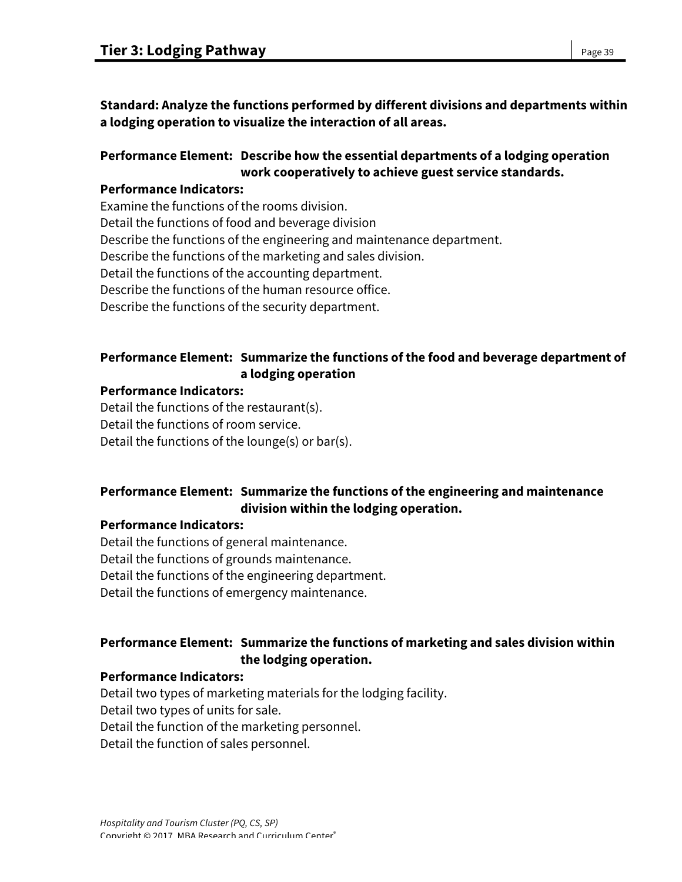**Standard: Analyze the functions performed by different divisions and departments within a lodging operation to visualize the interaction of all areas.** 

## **Performance Element: Describe how the essential departments of a lodging operation work cooperatively to achieve guest service standards.**

### **Performance Indicators:**

Examine the functions of the rooms division. Detail the functions of food and beverage division Describe the functions of the engineering and maintenance department. Describe the functions of the marketing and sales division. Detail the functions of the accounting department. Describe the functions of the human resource office. Describe the functions of the security department.

## **Performance Element: Summarize the functions of the food and beverage department of a lodging operation**

### **Performance Indicators:**

Detail the functions of the restaurant(s). Detail the functions of room service. Detail the functions of the lounge(s) or bar(s).

## **Performance Element: Summarize the functions of the engineering and maintenance division within the lodging operation.**

#### **Performance Indicators:**

Detail the functions of general maintenance. Detail the functions of grounds maintenance. Detail the functions of the engineering department. Detail the functions of emergency maintenance.

## **Performance Element: Summarize the functions of marketing and sales division within the lodging operation.**

#### **Performance Indicators:**

Detail two types of marketing materials for the lodging facility. Detail two types of units for sale.

Detail the function of the marketing personnel.

Detail the function of sales personnel.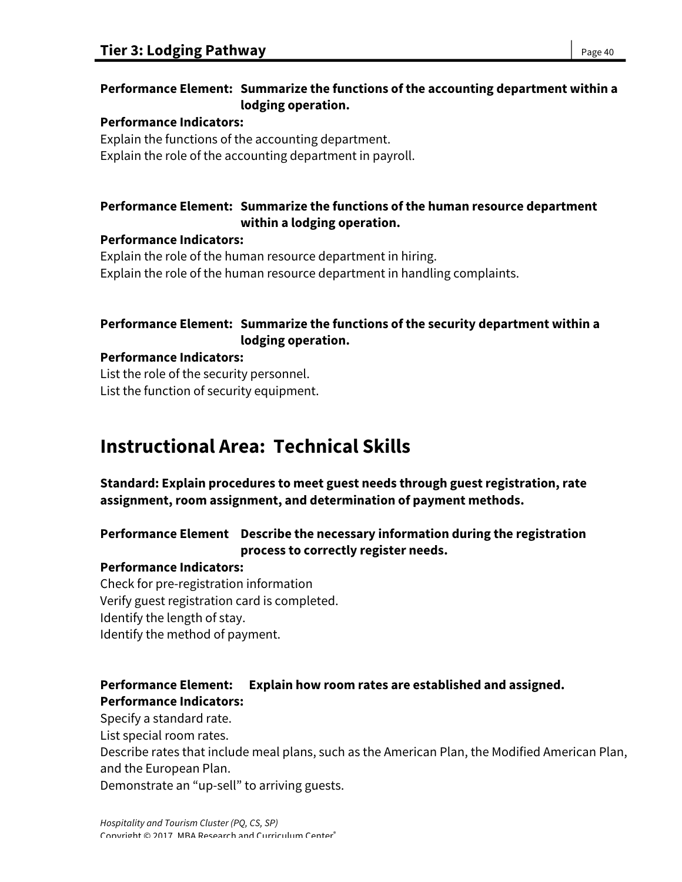## **Performance Element: Summarize the functions of the accounting department within a lodging operation.**

### **Performance Indicators:**

Explain the functions of the accounting department. Explain the role of the accounting department in payroll.

## **Performance Element: Summarize the functions of the human resource department within a lodging operation.**

### **Performance Indicators:**

Explain the role of the human resource department in hiring. Explain the role of the human resource department in handling complaints.

## **Performance Element: Summarize the functions of the security department within a lodging operation.**

### **Performance Indicators:**

List the role of the security personnel. List the function of security equipment.

# **Instructional Area: Technical Skills**

**Standard: Explain procedures to meet guest needs through guest registration, rate assignment, room assignment, and determination of payment methods.** 

## **Performance Element Describe the necessary information during the registration process to correctly register needs.**

## **Performance Indicators:**

Check for pre-registration information Verify guest registration card is completed. Identify the length of stay. Identify the method of payment.

## **Performance Element: Explain how room rates are established and assigned. Performance Indicators:**

Specify a standard rate.

List special room rates.

Describe rates that include meal plans, such as the American Plan, the Modified American Plan, and the European Plan.

Demonstrate an "up-sell" to arriving guests.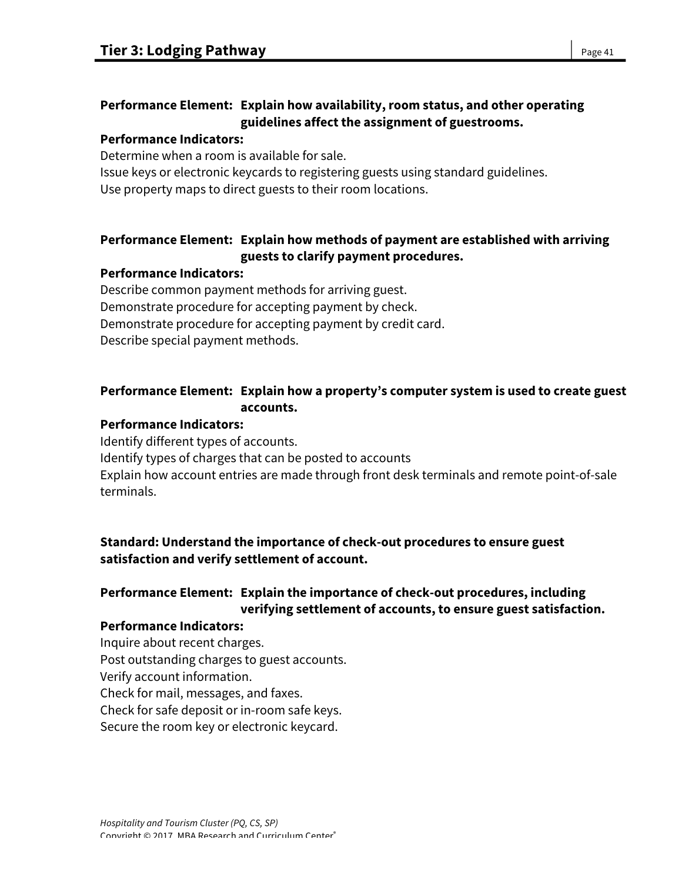## **Performance Element: Explain how availability, room status, and other operating guidelines affect the assignment of guestrooms.**

#### **Performance Indicators:**

Determine when a room is available for sale.

Issue keys or electronic keycards to registering guests using standard guidelines.

Use property maps to direct guests to their room locations.

## **Performance Element: Explain how methods of payment are established with arriving guests to clarify payment procedures.**

## **Performance Indicators:**

Describe common payment methods for arriving guest. Demonstrate procedure for accepting payment by check. Demonstrate procedure for accepting payment by credit card. Describe special payment methods.

## **Performance Element: Explain how a property's computer system is used to create guest accounts.**

## **Performance Indicators:**

Identify different types of accounts. Identify types of charges that can be posted to accounts Explain how account entries are made through front desk terminals and remote point-of-sale terminals.

## **Standard: Understand the importance of check-out procedures to ensure guest satisfaction and verify settlement of account.**

## **Performance Element: Explain the importance of check-out procedures, including verifying settlement of accounts, to ensure guest satisfaction.**

## **Performance Indicators:**

Inquire about recent charges. Post outstanding charges to guest accounts. Verify account information. Check for mail, messages, and faxes. Check for safe deposit or in-room safe keys. Secure the room key or electronic keycard.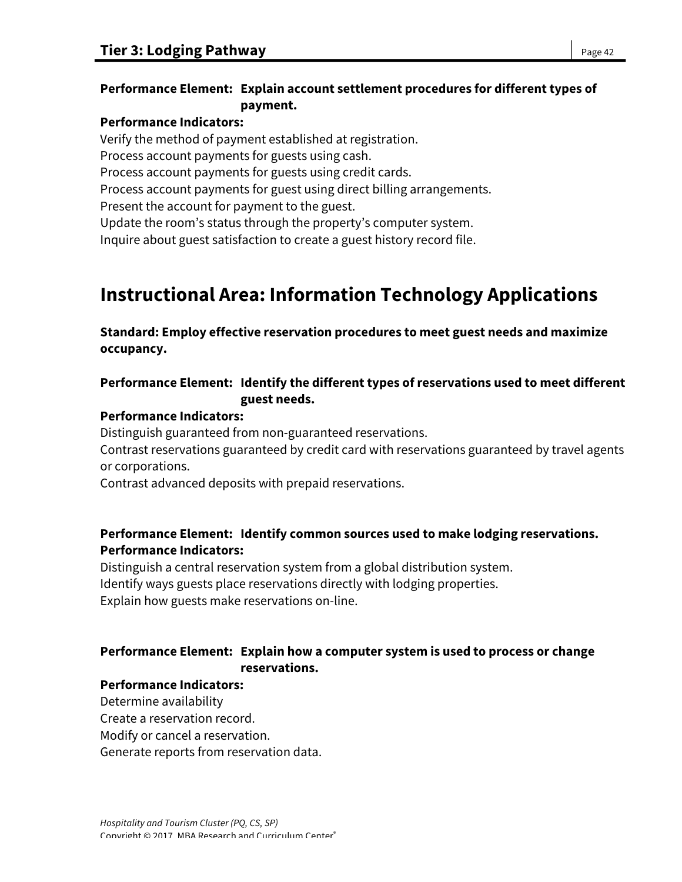## **Performance Element: Explain account settlement procedures for different types of payment.**

### **Performance Indicators:**

Verify the method of payment established at registration. Process account payments for guests using cash. Process account payments for guests using credit cards. Process account payments for guest using direct billing arrangements. Present the account for payment to the guest. Update the room's status through the property's computer system. Inquire about guest satisfaction to create a guest history record file.

# **Instructional Area: Information Technology Applications**

**Standard: Employ effective reservation procedures to meet guest needs and maximize occupancy.** 

## **Performance Element: Identify the different types of reservations used to meet different guest needs.**

### **Performance Indicators:**

Distinguish guaranteed from non-guaranteed reservations.

Contrast reservations guaranteed by credit card with reservations guaranteed by travel agents or corporations.

Contrast advanced deposits with prepaid reservations.

## **Performance Element: Identify common sources used to make lodging reservations. Performance Indicators:**

Distinguish a central reservation system from a global distribution system. Identify ways guests place reservations directly with lodging properties. Explain how guests make reservations on-line.

## **Performance Element: Explain how a computer system is used to process or change reservations.**

## **Performance Indicators:**

Determine availability

Create a reservation record.

Modify or cancel a reservation.

Generate reports from reservation data.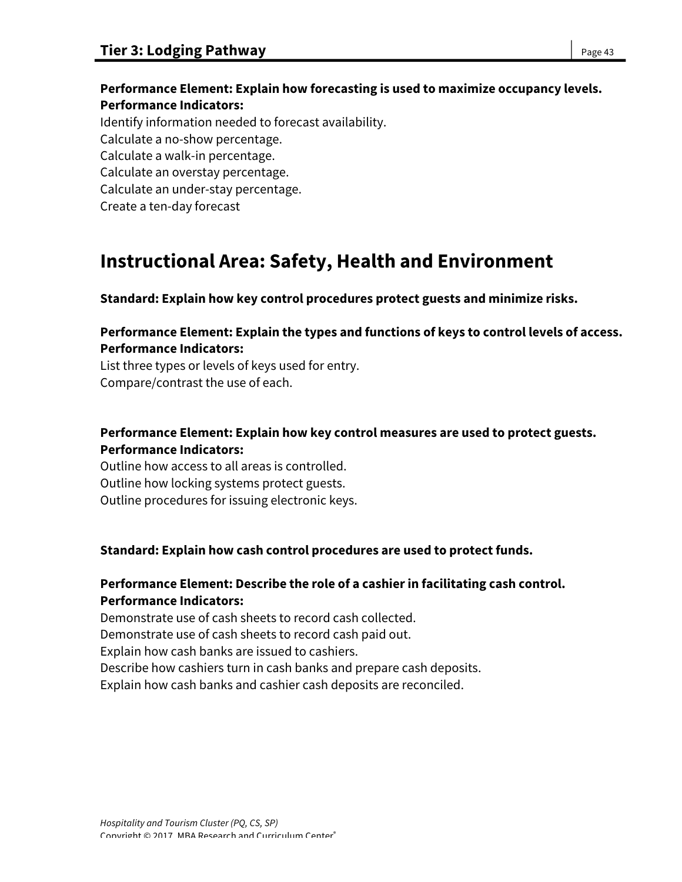## **Performance Element: Explain how forecasting is used to maximize occupancy levels. Performance Indicators:**

Identify information needed to forecast availability. Calculate a no-show percentage. Calculate a walk-in percentage. Calculate an overstay percentage. Calculate an under-stay percentage. Create a ten-day forecast

# **Instructional Area: Safety, Health and Environment**

**Standard: Explain how key control procedures protect guests and minimize risks.**

## **Performance Element: Explain the types and functions of keys to control levels of access. Performance Indicators:**

List three types or levels of keys used for entry. Compare/contrast the use of each.

## **Performance Element: Explain how key control measures are used to protect guests. Performance Indicators:**

Outline how access to all areas is controlled. Outline how locking systems protect guests. Outline procedures for issuing electronic keys.

## **Standard: Explain how cash control procedures are used to protect funds.**

## **Performance Element: Describe the role of a cashier in facilitating cash control. Performance Indicators:**

Demonstrate use of cash sheets to record cash collected.

Demonstrate use of cash sheets to record cash paid out.

Explain how cash banks are issued to cashiers.

Describe how cashiers turn in cash banks and prepare cash deposits.

Explain how cash banks and cashier cash deposits are reconciled.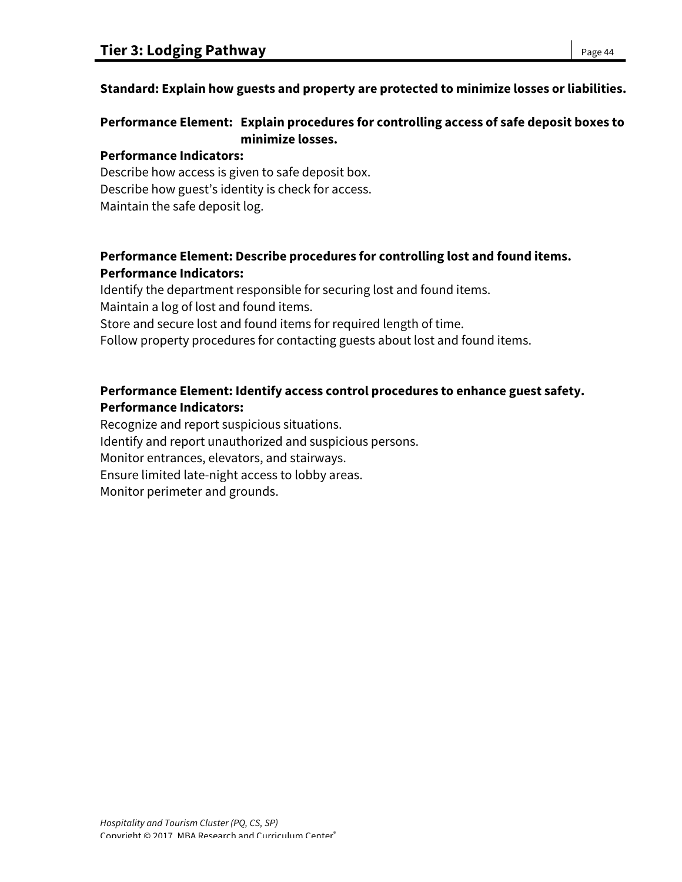### **Standard: Explain how guests and property are protected to minimize losses or liabilities.**

## **Performance Element: Explain procedures for controlling access of safe deposit boxes to minimize losses.**

#### **Performance Indicators:**

Describe how access is given to safe deposit box. Describe how guest's identity is check for access. Maintain the safe deposit log.

### **Performance Element: Describe procedures for controlling lost and found items. Performance Indicators:**

Identify the department responsible for securing lost and found items. Maintain a log of lost and found items. Store and secure lost and found items for required length of time. Follow property procedures for contacting guests about lost and found items.

## **Performance Element: Identify access control procedures to enhance guest safety. Performance Indicators:**

Recognize and report suspicious situations. Identify and report unauthorized and suspicious persons. Monitor entrances, elevators, and stairways. Ensure limited late-night access to lobby areas. Monitor perimeter and grounds.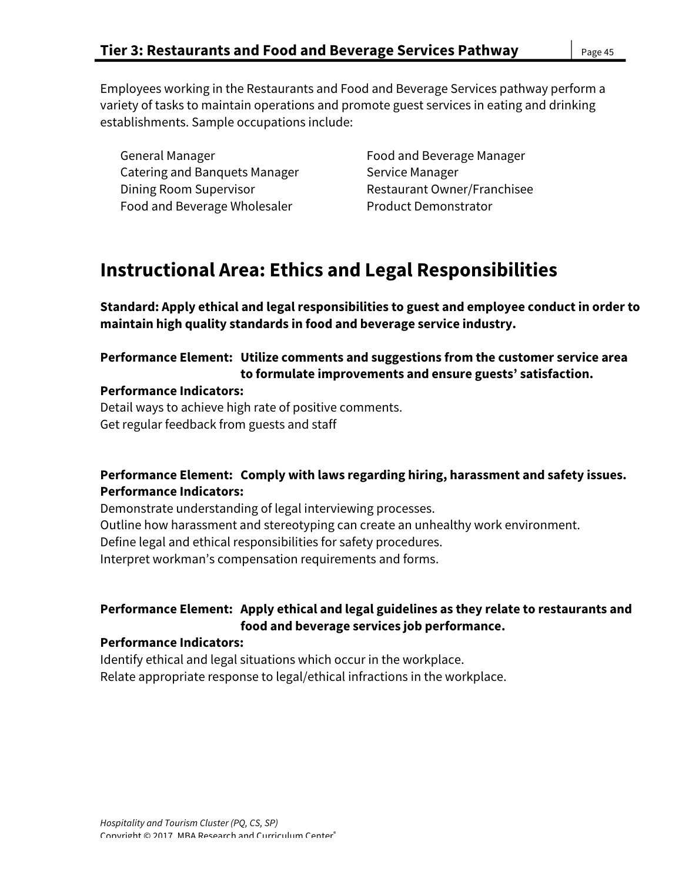Employees working in the Restaurants and Food and Beverage Services pathway perform a variety of tasks to maintain operations and promote guest services in eating and drinking establishments. Sample occupations include:

General Manager Food and Beverage Manager Catering and Banquets Manager Service Manager Dining Room Supervisor **Restaurant Owner/Franchisee** Food and Beverage Wholesaler **Product Demonstrator** 

# **Instructional Area: Ethics and Legal Responsibilities**

**Standard: Apply ethical and legal responsibilities to guest and employee conduct in order to maintain high quality standards in food and beverage service industry.** 

## **Performance Element: Utilize comments and suggestions from the customer service area to formulate improvements and ensure guests' satisfaction.**

#### **Performance Indicators:**

Detail ways to achieve high rate of positive comments. Get regular feedback from guests and staff

## **Performance Element: Comply with laws regarding hiring, harassment and safety issues. Performance Indicators:**

Demonstrate understanding of legal interviewing processes. Outline how harassment and stereotyping can create an unhealthy work environment. Define legal and ethical responsibilities for safety procedures. Interpret workman's compensation requirements and forms.

## **Performance Element: Apply ethical and legal guidelines as they relate to restaurants and food and beverage services job performance.**

#### **Performance Indicators:**

Identify ethical and legal situations which occur in the workplace. Relate appropriate response to legal/ethical infractions in the workplace.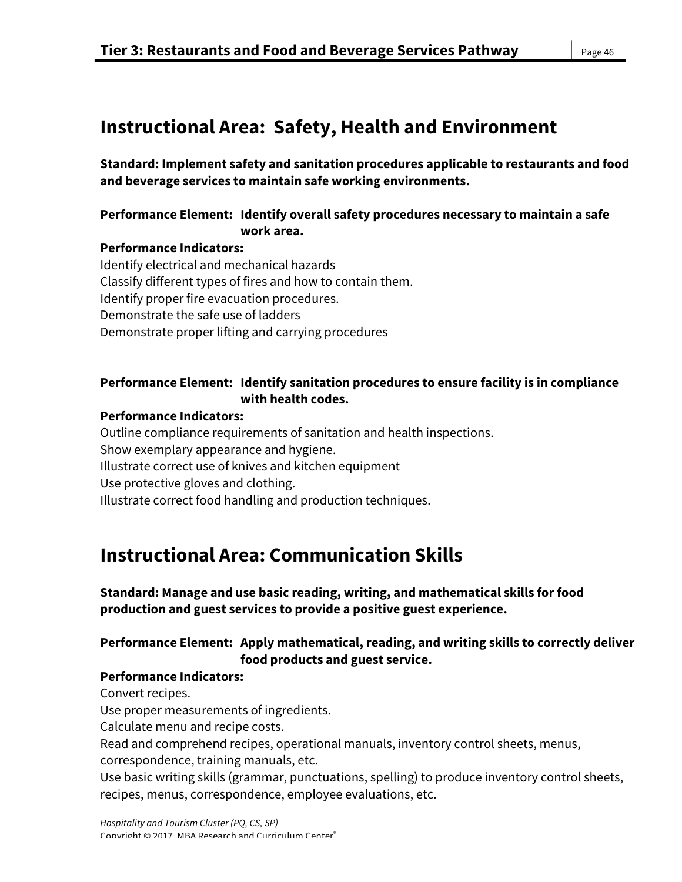# **Instructional Area: Safety, Health and Environment**

**Standard: Implement safety and sanitation procedures applicable to restaurants and food and beverage services to maintain safe working environments.**

### **Performance Element: Identify overall safety procedures necessary to maintain a safe work area.**

### **Performance Indicators:**

Identify electrical and mechanical hazards Classify different types of fires and how to contain them. Identify proper fire evacuation procedures. Demonstrate the safe use of ladders Demonstrate proper lifting and carrying procedures

## **Performance Element: Identify sanitation procedures to ensure facility is in compliance with health codes.**

### **Performance Indicators:**

Outline compliance requirements of sanitation and health inspections. Show exemplary appearance and hygiene. Illustrate correct use of knives and kitchen equipment Use protective gloves and clothing. Illustrate correct food handling and production techniques.

# **Instructional Area: Communication Skills**

**Standard: Manage and use basic reading, writing, and mathematical skills for food production and guest services to provide a positive guest experience.** 

## **Performance Element: Apply mathematical, reading, and writing skills to correctly deliver food products and guest service.**

## **Performance Indicators:**

Convert recipes.

Use proper measurements of ingredients.

Calculate menu and recipe costs.

Read and comprehend recipes, operational manuals, inventory control sheets, menus,

correspondence, training manuals, etc.

Use basic writing skills (grammar, punctuations, spelling) to produce inventory control sheets, recipes, menus, correspondence, employee evaluations, etc.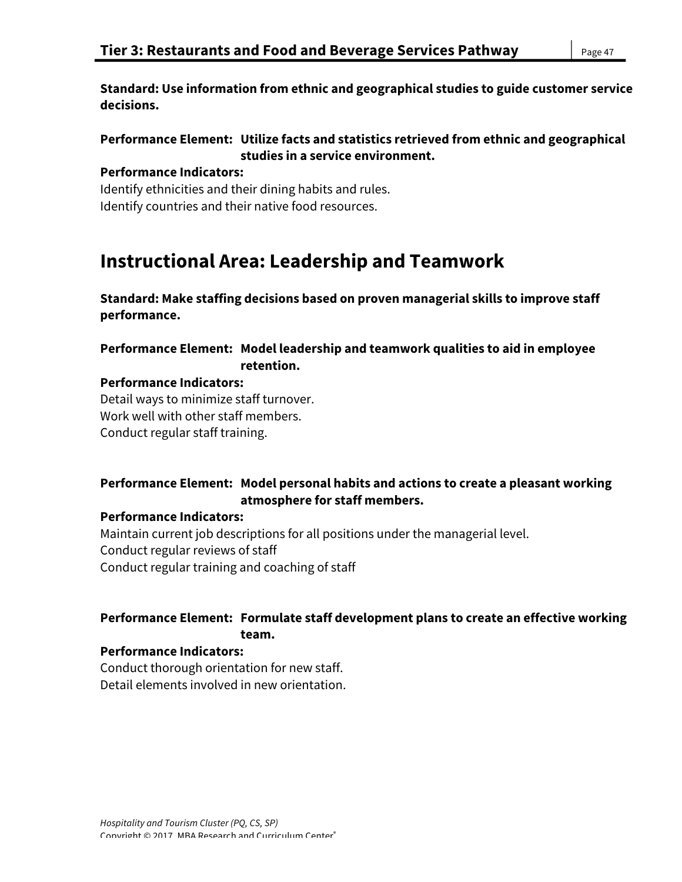**Standard: Use information from ethnic and geographical studies to guide customer service decisions.**

### **Performance Element: Utilize facts and statistics retrieved from ethnic and geographical studies in a service environment.**

#### **Performance Indicators:**

Identify ethnicities and their dining habits and rules. Identify countries and their native food resources.

# **Instructional Area: Leadership and Teamwork**

**Standard: Make staffing decisions based on proven managerial skills to improve staff performance.**

**Performance Element: Model leadership and teamwork qualities to aid in employee retention.**

#### **Performance Indicators:**

Detail ways to minimize staff turnover. Work well with other staff members. Conduct regular staff training.

### **Performance Element: Model personal habits and actions to create a pleasant working atmosphere for staff members.**

#### **Performance Indicators:**

Maintain current job descriptions for all positions under the managerial level. Conduct regular reviews of staff Conduct regular training and coaching of staff

## **Performance Element: Formulate staff development plans to create an effective working team.**

#### **Performance Indicators:**

Conduct thorough orientation for new staff. Detail elements involved in new orientation.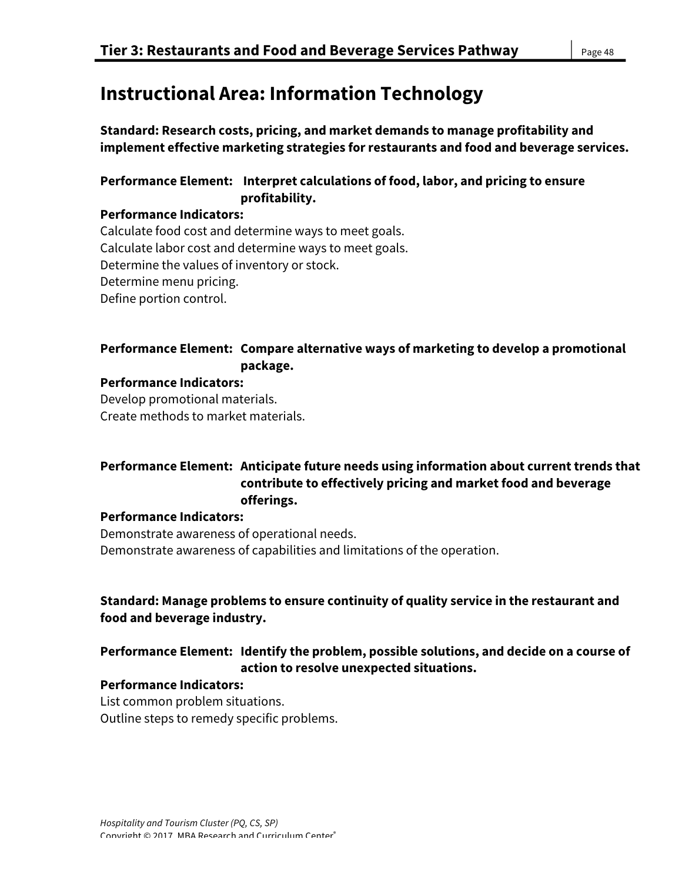# **Instructional Area: Information Technology**

**Standard: Research costs, pricing, and market demands to manage profitability and implement effective marketing strategies for restaurants and food and beverage services.** 

## **Performance Element: Interpret calculations of food, labor, and pricing to ensure profitability.**

### **Performance Indicators:**

Calculate food cost and determine ways to meet goals. Calculate labor cost and determine ways to meet goals. Determine the values of inventory or stock. Determine menu pricing. Define portion control.

## **Performance Element: Compare alternative ways of marketing to develop a promotional package.**

#### **Performance Indicators:**

Develop promotional materials. Create methods to market materials.

## **Performance Element: Anticipate future needs using information about current trends that contribute to effectively pricing and market food and beverage offerings.**

#### **Performance Indicators:**

Demonstrate awareness of operational needs. Demonstrate awareness of capabilities and limitations of the operation.

## **Standard: Manage problems to ensure continuity of quality service in the restaurant and food and beverage industry.**

## **Performance Element: Identify the problem, possible solutions, and decide on a course of action to resolve unexpected situations.**

#### **Performance Indicators:**

List common problem situations. Outline steps to remedy specific problems.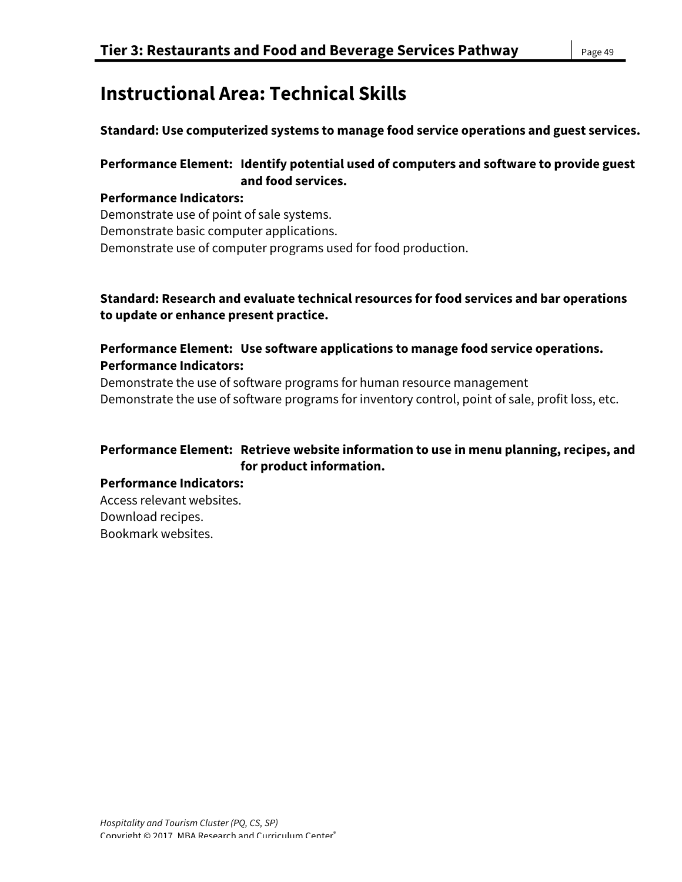# **Instructional Area: Technical Skills**

**Standard: Use computerized systems to manage food service operations and guest services.**

## **Performance Element: Identify potential used of computers and software to provide guest and food services.**

## **Performance Indicators:**

Demonstrate use of point of sale systems. Demonstrate basic computer applications. Demonstrate use of computer programs used for food production.

### **Standard: Research and evaluate technical resources for food services and bar operations to update or enhance present practice.**

## **Performance Element: Use software applications to manage food service operations. Performance Indicators:**

Demonstrate the use of software programs for human resource management Demonstrate the use of software programs for inventory control, point of sale, profit loss, etc.

## **Performance Element: Retrieve website information to use in menu planning, recipes, and for product information.**

#### **Performance Indicators:**

Access relevant websites. Download recipes. Bookmark websites.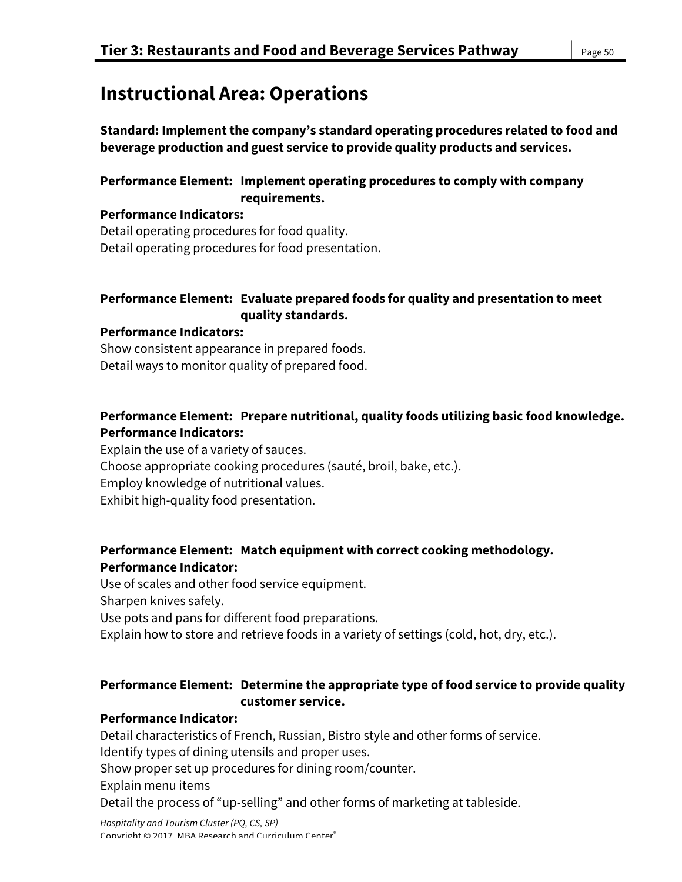# **Instructional Area: Operations**

**Standard: Implement the company's standard operating procedures related to food and beverage production and guest service to provide quality products and services.** 

## **Performance Element: Implement operating procedures to comply with company requirements.**

**Performance Indicators:**  Detail operating procedures for food quality. Detail operating procedures for food presentation.

## **Performance Element: Evaluate prepared foods for quality and presentation to meet quality standards.**

### **Performance Indicators:**

Show consistent appearance in prepared foods. Detail ways to monitor quality of prepared food.

## **Performance Element: Prepare nutritional, quality foods utilizing basic food knowledge. Performance Indicators:**

Explain the use of a variety of sauces. Choose appropriate cooking procedures (sauté, broil, bake, etc.). Employ knowledge of nutritional values. Exhibit high-quality food presentation.

## **Performance Element: Match equipment with correct cooking methodology. Performance Indicator:**

Use of scales and other food service equipment. Sharpen knives safely. Use pots and pans for different food preparations. Explain how to store and retrieve foods in a variety of settings (cold, hot, dry, etc.).

## **Performance Element: Determine the appropriate type of food service to provide quality customer service.**

#### **Performance Indicator:**

Detail characteristics of French, Russian, Bistro style and other forms of service.

Identify types of dining utensils and proper uses.

Show proper set up procedures for dining room/counter.

Explain menu items

Detail the process of "up-selling" and other forms of marketing at tableside.